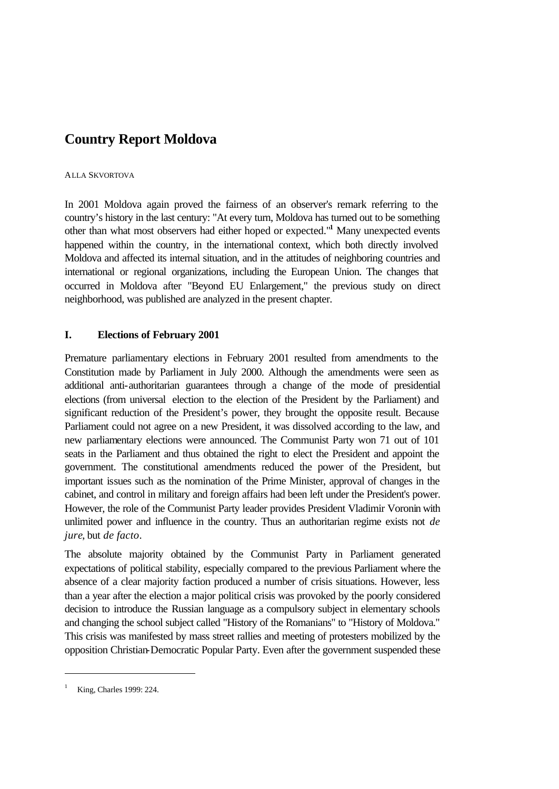# **Country Report Moldova**

## ALLA SKVORTOVA

In 2001 Moldova again proved the fairness of an observer's remark referring to the country's history in the last century: "At every turn, Moldova has turned out to be something other than what most observers had either hoped or expected."**<sup>1</sup>** Many unexpected events happened within the country, in the international context, which both directly involved Moldova and affected its internal situation, and in the attitudes of neighboring countries and international or regional organizations, including the European Union. The changes that occurred in Moldova after "Beyond EU Enlargement," the previous study on direct neighborhood, was published are analyzed in the present chapter.

# **I. Elections of February 2001**

Premature parliamentary elections in February 2001 resulted from amendments to the Constitution made by Parliament in July 2000. Although the amendments were seen as additional anti-authoritarian guarantees through a change of the mode of presidential elections (from universal election to the election of the President by the Parliament) and significant reduction of the President's power, they brought the opposite result. Because Parliament could not agree on a new President, it was dissolved according to the law, and new parliamentary elections were announced. The Communist Party won 71 out of 101 seats in the Parliament and thus obtained the right to elect the President and appoint the government. The constitutional amendments reduced the power of the President, but important issues such as the nomination of the Prime Minister, approval of changes in the cabinet, and control in military and foreign affairs had been left under the President's power. However, the role of the Communist Party leader provides President Vladimir Voronin with unlimited power and influence in the country. Thus an authoritarian regime exists not *de jure*, but *de facto*.

The absolute majority obtained by the Communist Party in Parliament generated expectations of political stability, especially compared to the previous Parliament where the absence of a clear majority faction produced a number of crisis situations. However, less than a year after the election a major political crisis was provoked by the poorly considered decision to introduce the Russian language as a compulsory subject in elementary schools and changing the school subject called "History of the Romanians" to "History of Moldova." This crisis was manifested by mass street rallies and meeting of protesters mobilized by the opposition Christian-Democratic Popular Party. Even after the government suspended these

King, Charles 1999: 224.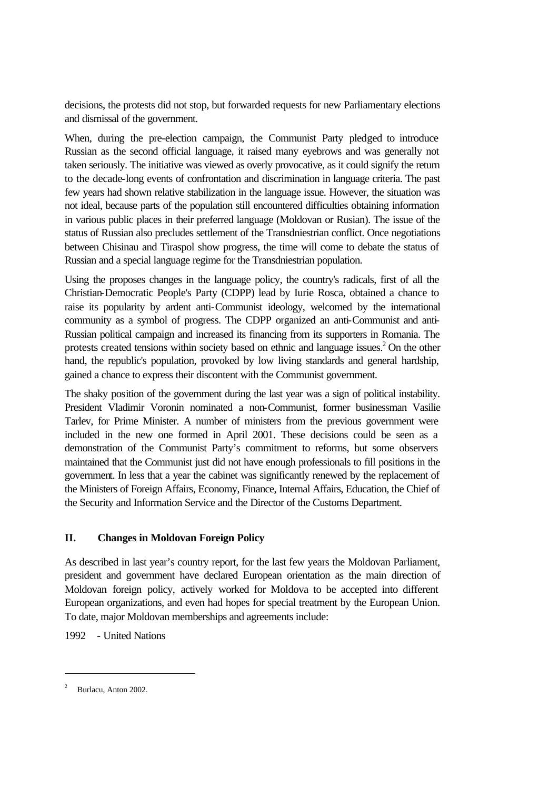decisions, the protests did not stop, but forwarded requests for new Parliamentary elections and dismissal of the government.

When, during the pre-election campaign, the Communist Party pledged to introduce Russian as the second official language, it raised many eyebrows and was generally not taken seriously. The initiative was viewed as overly provocative, as it could signify the return to the decade-long events of confrontation and discrimination in language criteria. The past few years had shown relative stabilization in the language issue. However, the situation was not ideal, because parts of the population still encountered difficulties obtaining information in various public places in their preferred language (Moldovan or Rusian). The issue of the status of Russian also precludes settlement of the Transdniestrian conflict. Once negotiations between Chisinau and Tiraspol show progress, the time will come to debate the status of Russian and a special language regime for the Transdniestrian population.

Using the proposes changes in the language policy, the country's radicals, first of all the Christian-Democratic People's Party (CDPP) lead by Iurie Rosca, obtained a chance to raise its popularity by ardent anti-Communist ideology, welcomed by the international community as a symbol of progress. The CDPP organized an anti-Communist and anti-Russian political campaign and increased its financing from its supporters in Romania. The protests created tensions within society based on ethnic and language issues.<sup>2</sup> On the other hand, the republic's population, provoked by low living standards and general hardship, gained a chance to express their discontent with the Communist government.

The shaky position of the government during the last year was a sign of political instability. President Vladimir Voronin nominated a non-Communist, former businessman Vasilie Tarlev, for Prime Minister. A number of ministers from the previous government were included in the new one formed in April 2001. These decisions could be seen as a demonstration of the Communist Party's commitment to reforms, but some observers maintained that the Communist just did not have enough professionals to fill positions in the government. In less that a year the cabinet was significantly renewed by the replacement of the Ministers of Foreign Affairs, Economy, Finance, Internal Affairs, Education, the Chief of the Security and Information Service and the Director of the Customs Department.

## **II. Changes in Moldovan Foreign Policy**

As described in last year's country report, for the last few years the Moldovan Parliament, president and government have declared European orientation as the main direction of Moldovan foreign policy, actively worked for Moldova to be accepted into different European organizations, and even had hopes for special treatment by the European Union. To date, major Moldovan memberships and agreements include:

1992 - United Nations

<sup>2</sup> Burlacu, Anton 2002.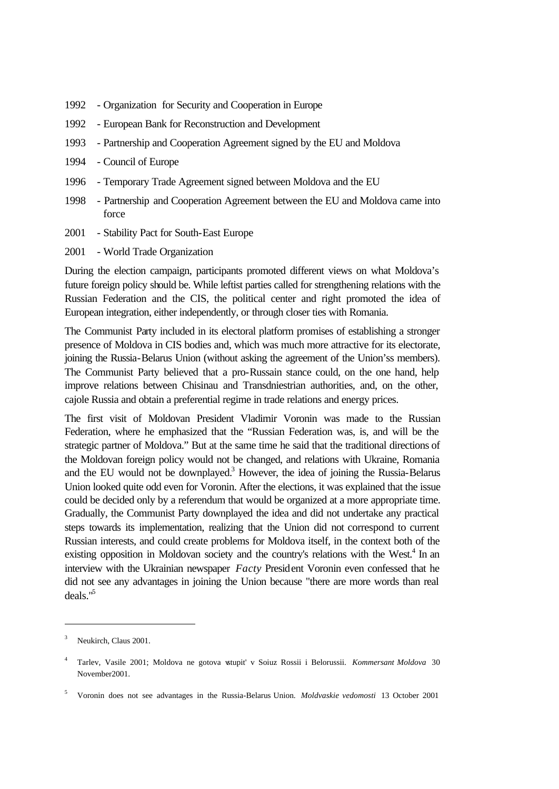- 1992 Organization for Security and Cooperation in Europe
- 1992 European Bank for Reconstruction and Development
- 1993 Partnership and Cooperation Agreement signed by the EU and Moldova
- 1994 Council of Europe
- 1996 Temporary Trade Agreement signed between Moldova and the EU
- 1998 Partnership and Cooperation Agreement between the EU and Moldova came into force
- 2001 Stability Pact for South-East Europe
- 2001 World Trade Organization

During the election campaign, participants promoted different views on what Moldova's future foreign policy should be. While leftist parties called for strengthening relations with the Russian Federation and the CIS, the political center and right promoted the idea of European integration, either independently, or through closer ties with Romania.

The Communist Party included in its electoral platform promises of establishing a stronger presence of Moldova in CIS bodies and, which was much more attractive for its electorate, joining the Russia-Belarus Union (without asking the agreement of the Union'ss members). The Communist Party believed that a pro-Russain stance could, on the one hand, help improve relations between Chisinau and Transdniestrian authorities, and, on the other, cajole Russia and obtain a preferential regime in trade relations and energy prices.

The first visit of Moldovan President Vladimir Voronin was made to the Russian Federation, where he emphasized that the "Russian Federation was, is, and will be the strategic partner of Moldova." But at the same time he said that the traditional directions of the Moldovan foreign policy would not be changed, and relations with Ukraine, Romania and the EU would not be downplayed.<sup>3</sup> However, the idea of joining the Russia-Belarus Union looked quite odd even for Voronin. After the elections, it was explained that the issue could be decided only by a referendum that would be organized at a more appropriate time. Gradually, the Communist Party downplayed the idea and did not undertake any practical steps towards its implementation, realizing that the Union did not correspond to current Russian interests, and could create problems for Moldova itself, in the context both of the existing opposition in Moldovan society and the country's relations with the West.<sup>4</sup> In an interview with the Ukrainian newspaper *Facty* President Voronin even confessed that he did not see any advantages in joining the Union because "there are more words than real deals."<sup>5</sup>

<sup>&</sup>lt;sup>3</sup> Neukirch, Claus 2001.

<sup>4</sup> Tarlev, Vasile 2001; Moldova ne gotova vstupit' v Soiuz Rossii i Belorussii. *Kommersant Moldova* 30 November2001.

<sup>5</sup> Voronin does not see advantages in the Russia-Belarus Union. *Moldvaskie vedomosti* 13 October 2001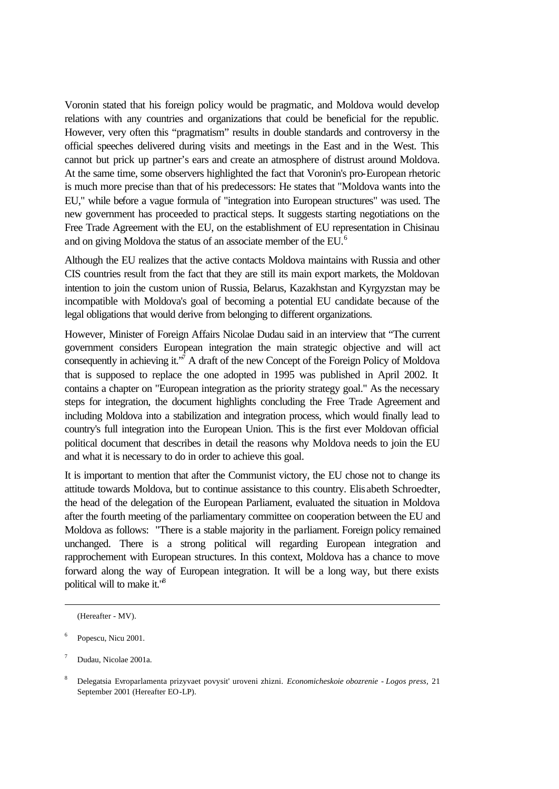Voronin stated that his foreign policy would be pragmatic, and Moldova would develop relations with any countries and organizations that could be beneficial for the republic. However, very often this "pragmatism" results in double standards and controversy in the official speeches delivered during visits and meetings in the East and in the West. This cannot but prick up partner's ears and create an atmosphere of distrust around Moldova. At the same time, some observers highlighted the fact that Voronin's pro-European rhetoric is much more precise than that of his predecessors: He states that "Moldova wants into the EU," while before a vague formula of "integration into European structures" was used. The new government has proceeded to practical steps. It suggests starting negotiations on the Free Trade Agreement with the EU, on the establishment of EU representation in Chisinau and on giving Moldova the status of an associate member of the EU.<sup>6</sup>

Although the EU realizes that the active contacts Moldova maintains with Russia and other CIS countries result from the fact that they are still its main export markets, the Moldovan intention to join the custom union of Russia, Belarus, Kazakhstan and Kyrgyzstan may be incompatible with Moldova's goal of becoming a potential EU candidate because of the legal obligations that would derive from belonging to different organizations.

However, Minister of Foreign Affairs Nicolae Dudau said in an interview that "The current government considers European integration the main strategic objective and will act consequently in achieving it."<sup>7</sup> A draft of the new Concept of the Foreign Policy of Moldova that is supposed to replace the one adopted in 1995 was published in April 2002. It contains a chapter on "European integration as the priority strategy goal." As the necessary steps for integration, the document highlights concluding the Free Trade Agreement and including Moldova into a stabilization and integration process, which would finally lead to country's full integration into the European Union. This is the first ever Moldovan official political document that describes in detail the reasons why Moldova needs to join the EU and what it is necessary to do in order to achieve this goal.

It is important to mention that after the Communist victory, the EU chose not to change its attitude towards Moldova, but to continue assistance to this country. Elisabeth Schroedter, the head of the delegation of the European Parliament, evaluated the situation in Moldova after the fourth meeting of the parliamentary committee on cooperation between the EU and Moldova as follows: "There is a stable majority in the parliament. Foreign policy remained unchanged. There is a strong political will regarding European integration and rapprochement with European structures. In this context, Moldova has a chance to move forward along the way of European integration. It will be a long way, but there exists political will to make it."<sup>8</sup>

<sup>(</sup>Hereafter - MV).

<sup>6</sup> Popescu, Nicu 2001.

Dudau, Nicolae 2001a.

<sup>8</sup> Delegatsia Evroparlamenta prizyvaet povysit' uroveni zhizni. *Economicheskoie obozrenie - Logos press,* 21 September 2001 (Hereafter EO-LP).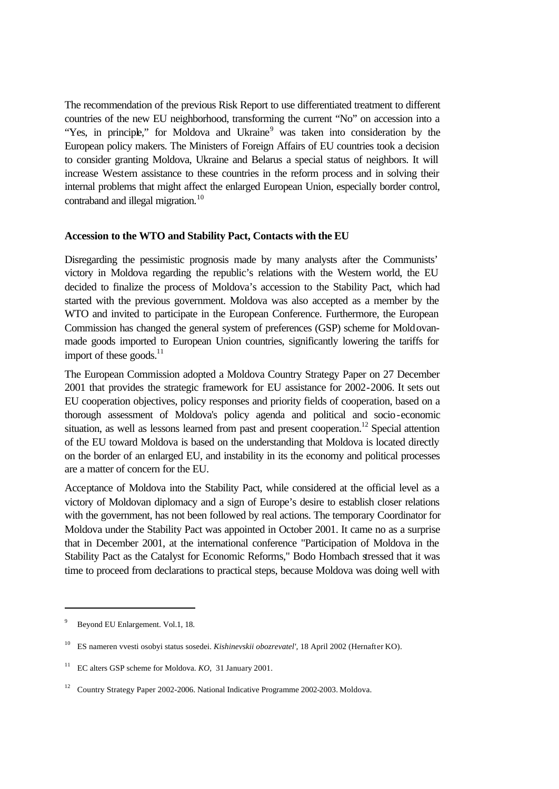The recommendation of the previous Risk Report to use differentiated treatment to different countries of the new EU neighborhood, transforming the current "No" on accession into a "Yes, in principle," for Moldova and Ukraine<sup>9</sup> was taken into consideration by the European policy makers. The Ministers of Foreign Affairs of EU countries took a decision to consider granting Moldova, Ukraine and Belarus a special status of neighbors. It will increase Western assistance to these countries in the reform process and in solving their internal problems that might affect the enlarged European Union, especially border control, contraband and illegal migration.<sup>10</sup>

## **Accession to the WTO and Stability Pact, Contacts with the EU**

Disregarding the pessimistic prognosis made by many analysts after the Communists' victory in Moldova regarding the republic's relations with the Western world, the EU decided to finalize the process of Moldova's accession to the Stability Pact, which had started with the previous government. Moldova was also accepted as a member by the WTO and invited to participate in the European Conference. Furthermore, the European Commission has changed the general system of preferences (GSP) scheme for Moldovanmade goods imported to European Union countries, significantly lowering the tariffs for import of these goods. $11$ 

The European Commission adopted a Moldova Country Strategy Paper on 27 December 2001 that provides the strategic framework for EU assistance for 2002-2006. It sets out EU cooperation objectives, policy responses and priority fields of cooperation, based on a thorough assessment of Moldova's policy agenda and political and socio-economic situation, as well as lessons learned from past and present cooperation.<sup>12</sup> Special attention of the EU toward Moldova is based on the understanding that Moldova is located directly on the border of an enlarged EU, and instability in its the economy and political processes are a matter of concern for the EU.

Acceptance of Moldova into the Stability Pact, while considered at the official level as a victory of Moldovan diplomacy and a sign of Europe's desire to establish closer relations with the government, has not been followed by real actions. The temporary Coordinator for Moldova under the Stability Pact was appointed in October 2001. It came no as a surprise that in December 2001, at the international conference "Participation of Moldova in the Stability Pact as the Catalyst for Economic Reforms," Bodo Hombach stressed that it was time to proceed from declarations to practical steps, because Moldova was doing well with

<sup>9</sup> Beyond EU Enlargement. Vol.1, 18.

<sup>10</sup> ES nameren vvesti osobyi status sosedei. *Kishinevskii obozrevatel',* 18 April 2002 (Hernafter KO).

EC alters GSP scheme for Moldova. *KO*, 31 January 2001.

<sup>12</sup> Country Strategy Paper 2002-2006. National Indicative Programme 2002-2003. Moldova.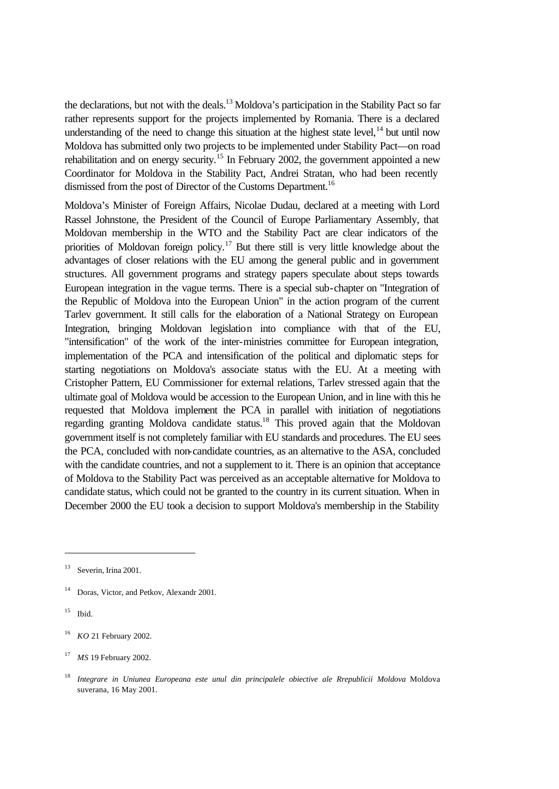the declarations, but not with the deals.<sup>13</sup> Moldova's participation in the Stability Pact so far rather represents support for the projects implemented by Romania. There is a declared understanding of the need to change this situation at the highest state level, $14$  but until now Moldova has submitted only two projects to be implemented under Stability Pact—on road rehabilitation and on energy security.<sup>15</sup> In February 2002, the government appointed a new Coordinator for Moldova in the Stability Pact, Andrei Stratan, who had been recently dismissed from the post of Director of the Customs Department.<sup>16</sup>

Moldova's Minister of Foreign Affairs, Nicolae Dudau, declared at a meeting with Lord Rassel Johnstone, the President of the Council of Europe Parliamentary Assembly, that Moldovan membership in the WTO and the Stability Pact are clear indicators of the priorities of Moldovan foreign policy.<sup>17</sup> But there still is very little knowledge about the advantages of closer relations with the EU among the general public and in government structures. All government programs and strategy papers speculate about steps towards European integration in the vague terms. There is a special sub-chapter on "Integration of the Republic of Moldova into the European Union" in the action program of the current Tarlev government. It still calls for the elaboration of a National Strategy on European Integration, bringing Moldovan legislation into compliance with that of the EU, "intensification" of the work of the inter-ministries committee for European integration, implementation of the PCA and intensification of the political and diplomatic steps for starting negotiations on Moldova's associate status with the EU. At a meeting with Cristopher Pattern, EU Commissioner for external relations, Tarlev stressed again that the ultimate goal of Moldova would be accession to the European Union, and in line with this he requested that Moldova implement the PCA in parallel with initiation of negotiations regarding granting Moldova candidate status.<sup>18</sup> This proved again that the Moldovan government itself is not completely familiar with EU standards and procedures. The EU sees the PCA, concluded with non-candidate countries, as an alternative to the ASA, concluded with the candidate countries, and not a supplement to it. There is an opinion that acceptance of Moldova to the Stability Pact was perceived as an acceptable alternative for Moldova to candidate status, which could not be granted to the country in its current situation. When in December 2000 the EU took a decision to support Moldova's membership in the Stability

 $\overline{a}$ 

Severin, Irina 2001.

<sup>&</sup>lt;sup>14</sup> Doras, Victor, and Petkov, Alexandr 2001.

 $15$  Ibid.

<sup>16</sup> *KO* 21 February 2002.

<sup>17</sup> *MS* 19 February 2002.

<sup>18</sup> *Integrare in Uniunea Europeana este unul din principalele obiective ale Rrepublicii Moldova* Moldova suverana, 16 May 2001.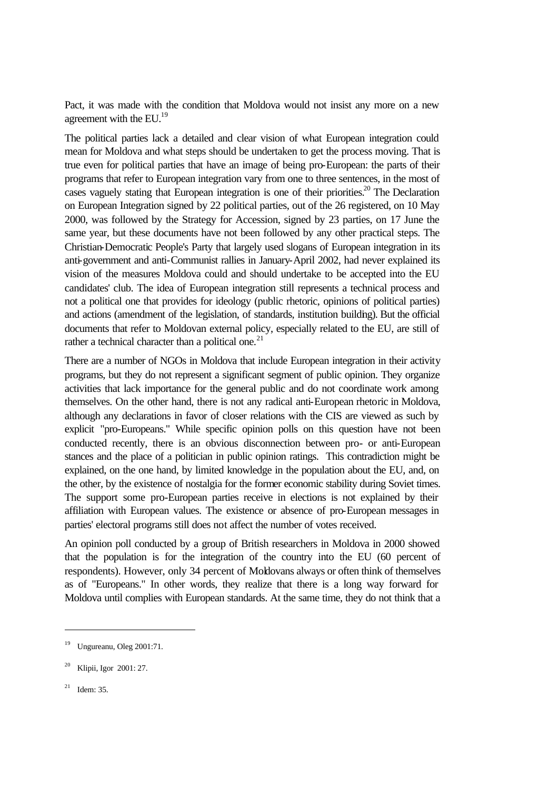Pact, it was made with the condition that Moldova would not insist any more on a new agreement with the EU.<sup>19</sup>

The political parties lack a detailed and clear vision of what European integration could mean for Moldova and what steps should be undertaken to get the process moving. That is true even for political parties that have an image of being pro-European: the parts of their programs that refer to European integration vary from one to three sentences, in the most of cases vaguely stating that European integration is one of their priorities.<sup>20</sup> The Declaration on European Integration signed by 22 political parties, out of the 26 registered, on 10 May 2000, was followed by the Strategy for Accession, signed by 23 parties, on 17 June the same year, but these documents have not been followed by any other practical steps. The Christian-Democratic People's Party that largely used slogans of European integration in its anti-government and anti-Communist rallies in January-April 2002, had never explained its vision of the measures Moldova could and should undertake to be accepted into the EU candidates' club. The idea of European integration still represents a technical process and not a political one that provides for ideology (public rhetoric, opinions of political parties) and actions (amendment of the legislation, of standards, institution building). But the official documents that refer to Moldovan external policy, especially related to the EU, are still of rather a technical character than a political one.<sup>21</sup>

There are a number of NGOs in Moldova that include European integration in their activity programs, but they do not represent a significant segment of public opinion. They organize activities that lack importance for the general public and do not coordinate work among themselves. On the other hand, there is not any radical anti-European rhetoric in Moldova, although any declarations in favor of closer relations with the CIS are viewed as such by explicit "pro-Europeans." While specific opinion polls on this question have not been conducted recently, there is an obvious disconnection between pro- or anti-European stances and the place of a politician in public opinion ratings. This contradiction might be explained, on the one hand, by limited knowledge in the population about the EU, and, on the other, by the existence of nostalgia for the former economic stability during Soviet times. The support some pro-European parties receive in elections is not explained by their affiliation with European values. The existence or absence of pro-European messages in parties' electoral programs still does not affect the number of votes received.

An opinion poll conducted by a group of British researchers in Moldova in 2000 showed that the population is for the integration of the country into the EU (60 percent of respondents). However, only 34 percent of Moldovans always or often think of themselves as of "Europeans." In other words, they realize that there is a long way forward for Moldova until complies with European standards. At the same time, they do not think that a

<sup>19</sup> Ungureanu, Oleg 2001:71.

<sup>20</sup> Klipii, Igor 2001: 27.

 $^{21}$  Idem: 35.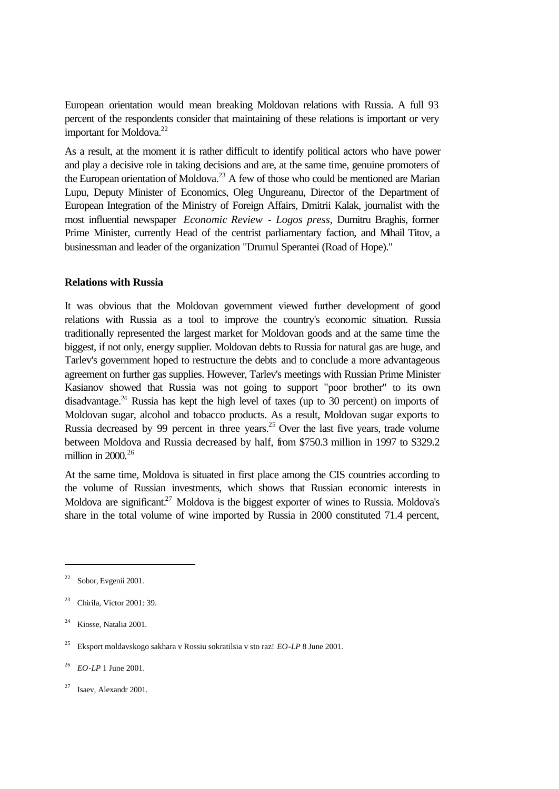European orientation would mean breaking Moldovan relations with Russia. A full 93 percent of the respondents consider that maintaining of these relations is important or very important for Moldova.<sup>22</sup>

As a result, at the moment it is rather difficult to identify political actors who have power and play a decisive role in taking decisions and are, at the same time, genuine promoters of the European orientation of Moldova.<sup>23</sup> A few of those who could be mentioned are Marian Lupu, Deputy Minister of Economics, Oleg Ungureanu, Director of the Department of European Integration of the Ministry of Foreign Affairs, Dmitrii Kalak, journalist with the most influential newspaper *Economic Review - Logos press,* Dumitru Braghis, former Prime Minister, currently Head of the centrist parliamentary faction, and Mihail Titov, a businessman and leader of the organization "Drumul Sperantei (Road of Hope)."

#### **Relations with Russia**

It was obvious that the Moldovan government viewed further development of good relations with Russia as a tool to improve the country's economic situation. Russia traditionally represented the largest market for Moldovan goods and at the same time the biggest, if not only, energy supplier. Moldovan debts to Russia for natural gas are huge, and Tarlev's government hoped to restructure the debts and to conclude a more advantageous agreement on further gas supplies. However, Tarlev's meetings with Russian Prime Minister Kasianov showed that Russia was not going to support "poor brother" to its own disadvantage. $^{24}$  Russia has kept the high level of taxes (up to 30 percent) on imports of Moldovan sugar, alcohol and tobacco products. As a result, Moldovan sugar exports to Russia decreased by 99 percent in three years.<sup>25</sup> Over the last five years, trade volume between Moldova and Russia decreased by half, from \$750.3 million in 1997 to \$329.2 million in  $2000^{26}$ 

At the same time, Moldova is situated in first place among the CIS countries according to the volume of Russian investments, which shows that Russian economic interests in Moldova are significant.<sup>27</sup> Moldova is the biggest exporter of wines to Russia. Moldova's share in the total volume of wine imported by Russia in 2000 constituted 71.4 percent,

<sup>26</sup> *EO-LP* 1 June 2001.

<sup>22</sup> Sobor, Evgenii 2001.

 $23$  Chirila, Victor 2001: 39.

<sup>24</sup> Kiosse, Natalia 2001.

<sup>25</sup> Eksport moldavskogo sakhara v Rossiu sokratilsia v sto raz! *EO-LP* 8 June 2001.

 $27$  Isaev, Alexandr 2001.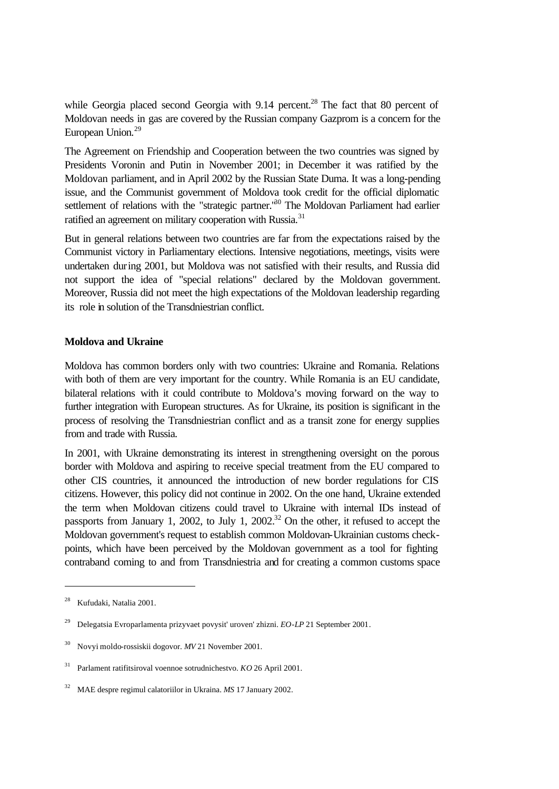while Georgia placed second Georgia with 9.14 percent.<sup>28</sup> The fact that 80 percent of Moldovan needs in gas are covered by the Russian company Gazprom is a concern for the European Union.<sup>29</sup>

The Agreement on Friendship and Cooperation between the two countries was signed by Presidents Voronin and Putin in November 2001; in December it was ratified by the Moldovan parliament, and in April 2002 by the Russian State Duma. It was a long-pending issue, and the Communist government of Moldova took credit for the official diplomatic settlement of relations with the "strategic partner.<sup>30</sup> The Moldovan Parliament had earlier ratified an agreement on military cooperation with Russia.<sup>31</sup>

But in general relations between two countries are far from the expectations raised by the Communist victory in Parliamentary elections. Intensive negotiations, meetings, visits were undertaken during 2001, but Moldova was not satisfied with their results, and Russia did not support the idea of "special relations" declared by the Moldovan government. Moreover, Russia did not meet the high expectations of the Moldovan leadership regarding its role in solution of the Transdniestrian conflict.

## **Moldova and Ukraine**

Moldova has common borders only with two countries: Ukraine and Romania. Relations with both of them are very important for the country. While Romania is an EU candidate, bilateral relations with it could contribute to Moldova's moving forward on the way to further integration with European structures. As for Ukraine, its position is significant in the process of resolving the Transdniestrian conflict and as a transit zone for energy supplies from and trade with Russia.

In 2001, with Ukraine demonstrating its interest in strengthening oversight on the porous border with Moldova and aspiring to receive special treatment from the EU compared to other CIS countries, it announced the introduction of new border regulations for CIS citizens. However, this policy did not continue in 2002. On the one hand, Ukraine extended the term when Moldovan citizens could travel to Ukraine with internal IDs instead of passports from January 1, 2002, to July 1, 2002.<sup>32</sup> On the other, it refused to accept the Moldovan government's request to establish common Moldovan-Ukrainian customs checkpoints, which have been perceived by the Moldovan government as a tool for fighting contraband coming to and from Transdniestria and for creating a common customs space

<sup>28</sup> Kufudaki, Natalia 2001.

<sup>29</sup> Delegatsia Evroparlamenta prizyvaet povysit' uroven' zhizni. *EO-LP* 21 September 2001*.*

<sup>30</sup> Novyi moldo-rossiskii dogovor. *MV* 21 November 2001.

<sup>31</sup> Parlament ratifitsiroval voennoe sotrudnichestvo. *KO* 26 April 2001.

<sup>32</sup> MAE despre regimul calatoriilor in Ukraina. *MS* 17 January 2002.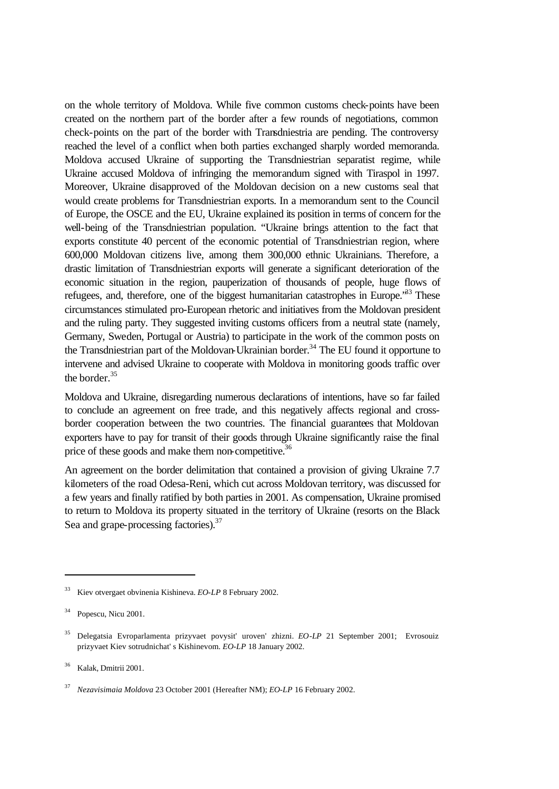on the whole territory of Moldova. While five common customs check-points have been created on the northern part of the border after a few rounds of negotiations, common check-points on the part of the border with Transdniestria are pending. The controversy reached the level of a conflict when both parties exchanged sharply worded memoranda. Moldova accused Ukraine of supporting the Transdniestrian separatist regime, while Ukraine accused Moldova of infringing the memorandum signed with Tiraspol in 1997. Moreover, Ukraine disapproved of the Moldovan decision on a new customs seal that would create problems for Transdniestrian exports. In a memorandum sent to the Council of Europe, the OSCE and the EU, Ukraine explained its position in terms of concern for the well-being of the Transdniestrian population. "Ukraine brings attention to the fact that exports constitute 40 percent of the economic potential of Transdniestrian region, where 600,000 Moldovan citizens live, among them 300,000 ethnic Ukrainians. Therefore, a drastic limitation of Transdniestrian exports will generate a significant deterioration of the economic situation in the region, pauperization of thousands of people, huge flows of refugees, and, therefore, one of the biggest humanitarian catastrophes in Europe.<sup>33</sup> These circumstances stimulated pro-European rhetoric and initiatives from the Moldovan president and the ruling party. They suggested inviting customs officers from a neutral state (namely, Germany, Sweden, Portugal or Austria) to participate in the work of the common posts on the Transdniestrian part of the Moldovan-Ukrainian border.<sup>34</sup> The EU found it opportune to intervene and advised Ukraine to cooperate with Moldova in monitoring goods traffic over the border. $35$ 

Moldova and Ukraine, disregarding numerous declarations of intentions, have so far failed to conclude an agreement on free trade, and this negatively affects regional and crossborder cooperation between the two countries. The financial guarantees that Moldovan exporters have to pay for transit of their goods through Ukraine significantly raise the final price of these goods and make them non-competitive.<sup>36</sup>

An agreement on the border delimitation that contained a provision of giving Ukraine 7.7 kilometers of the road Odesa-Reni, which cut across Moldovan territory, was discussed for a few years and finally ratified by both parties in 2001. As compensation, Ukraine promised to return to Moldova its property situated in the territory of Ukraine (resorts on the Black Sea and grape-processing factories).<sup>37</sup>

 $\overline{a}$ 

<sup>33</sup> Kiev otvergaet obvinenia Kishineva. *EO-LP* 8 February 2002.

<sup>34</sup> Popescu, Nicu 2001.

<sup>35</sup> Delegatsia Evroparlamenta prizyvaet povysit' uroven' zhizni. *EO-LP* 21 September 2001; Evrosouiz prizyvaet Kiev sotrudnichat' s Kishinevom*. EO-LP* 18 January 2002.

<sup>36</sup> Kalak, Dmitrii 2001.

<sup>37</sup> *Nezavisimaia Moldova* 23 October 2001 (Hereafter NM); *EO-LP* 16 February 2002.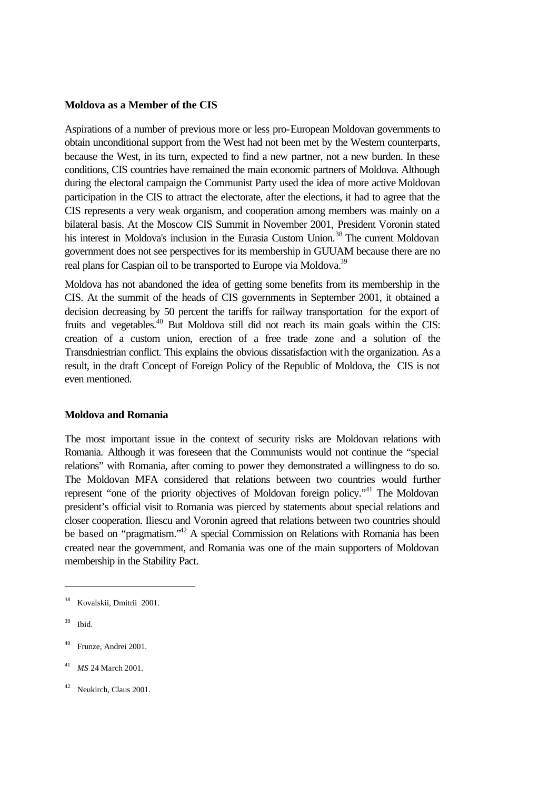#### **Moldova as a Member of the CIS**

Aspirations of a number of previous more or less pro-European Moldovan governments to obtain unconditional support from the West had not been met by the Western counterparts, because the West, in its turn, expected to find a new partner, not a new burden. In these conditions, CIS countries have remained the main economic partners of Moldova. Although during the electoral campaign the Communist Party used the idea of more active Moldovan participation in the CIS to attract the electorate, after the elections, it had to agree that the CIS represents a very weak organism, and cooperation among members was mainly on a bilateral basis. At the Moscow CIS Summit in November 2001, President Voronin stated his interest in Moldova's inclusion in the Eurasia Custom Union.<sup>38</sup> The current Moldovan government does not see perspectives for its membership in GUUAM because there are no real plans for Caspian oil to be transported to Europe via Moldova.<sup>39</sup>

Moldova has not abandoned the idea of getting some benefits from its membership in the CIS. At the summit of the heads of CIS governments in September 2001, it obtained a decision decreasing by 50 percent the tariffs for railway transportation for the export of fruits and vegetables.<sup>40</sup> But Moldova still did not reach its main goals within the CIS: creation of a custom union, erection of a free trade zone and a solution of the Transdniestrian conflict. This explains the obvious dissatisfaction with the organization. As a result, in the draft Concept of Foreign Policy of the Republic of Moldova, the CIS is not even mentioned.

#### **Moldova and Romania**

The most important issue in the context of security risks are Moldovan relations with Romania. Although it was foreseen that the Communists would not continue the "special relations" with Romania, after coming to power they demonstrated a willingness to do so. The Moldovan MFA considered that relations between two countries would further represent "one of the priority objectives of Moldovan foreign policy."<sup>41</sup> The Moldovan president's official visit to Romania was pierced by statements about special relations and closer cooperation. Iliescu and Voronin agreed that relations between two countries should be based on "pragmatism."<sup>42</sup> A special Commission on Relations with Romania has been created near the government, and Romania was one of the main supporters of Moldovan membership in the Stability Pact.

<sup>41</sup> *MS* 24 March 2001.

<sup>38</sup> Kovalskii, Dmitrii 2001.

 $39$  Ibid.

<sup>40</sup> Frunze, Andrei 2001.

<sup>&</sup>lt;sup>42</sup> Neukirch, Claus 2001.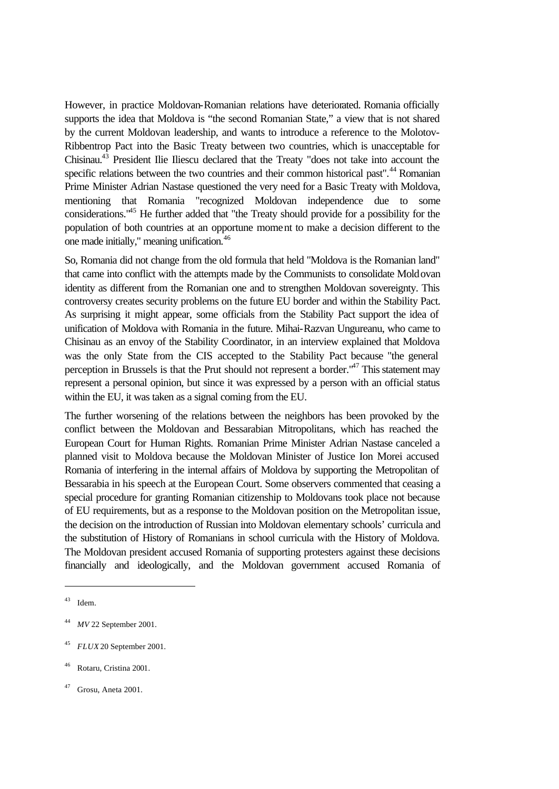However, in practice Moldovan-Romanian relations have deteriorated. Romania officially supports the idea that Moldova is "the second Romanian State," a view that is not shared by the current Moldovan leadership, and wants to introduce a reference to the Molotov-Ribbentrop Pact into the Basic Treaty between two countries, which is unacceptable for Chisinau.<sup>43</sup> President Ilie Iliescu declared that the Treaty "does not take into account the specific relations between the two countries and their common historical past".<sup>44</sup> Romanian Prime Minister Adrian Nastase questioned the very need for a Basic Treaty with Moldova, mentioning that Romania "recognized Moldovan independence due to some considerations."<sup>45</sup> He further added that "the Treaty should provide for a possibility for the population of both countries at an opportune moment to make a decision different to the one made initially," meaning unification.<sup>46</sup>

So, Romania did not change from the old formula that held "Moldova is the Romanian land" that came into conflict with the attempts made by the Communists to consolidate Moldovan identity as different from the Romanian one and to strengthen Moldovan sovereignty. This controversy creates security problems on the future EU border and within the Stability Pact. As surprising it might appear, some officials from the Stability Pact support the idea of unification of Moldova with Romania in the future. Mihai-Razvan Ungureanu, who came to Chisinau as an envoy of the Stability Coordinator, in an interview explained that Moldova was the only State from the CIS accepted to the Stability Pact because "the general perception in Brussels is that the Prut should not represent a border."<sup>47</sup> This statement may represent a personal opinion, but since it was expressed by a person with an official status within the EU, it was taken as a signal coming from the EU.

The further worsening of the relations between the neighbors has been provoked by the conflict between the Moldovan and Bessarabian Mitropolitans, which has reached the European Court for Human Rights. Romanian Prime Minister Adrian Nastase canceled a planned visit to Moldova because the Moldovan Minister of Justice Ion Morei accused Romania of interfering in the internal affairs of Moldova by supporting the Metropolitan of Bessarabia in his speech at the European Court. Some observers commented that ceasing a special procedure for granting Romanian citizenship to Moldovans took place not because of EU requirements, but as a response to the Moldovan position on the Metropolitan issue, the decision on the introduction of Russian into Moldovan elementary schools' curricula and the substitution of History of Romanians in school curricula with the History of Moldova. The Moldovan president accused Romania of supporting protesters against these decisions financially and ideologically, and the Moldovan government accused Romania of

 $43$  Idem.

<sup>44</sup> *MV* 22 September 2001.

<sup>45</sup> *FLUX* 20 September 2001.

<sup>46</sup> Rotaru, Cristina 2001*.*

Grosu, Aneta 2001.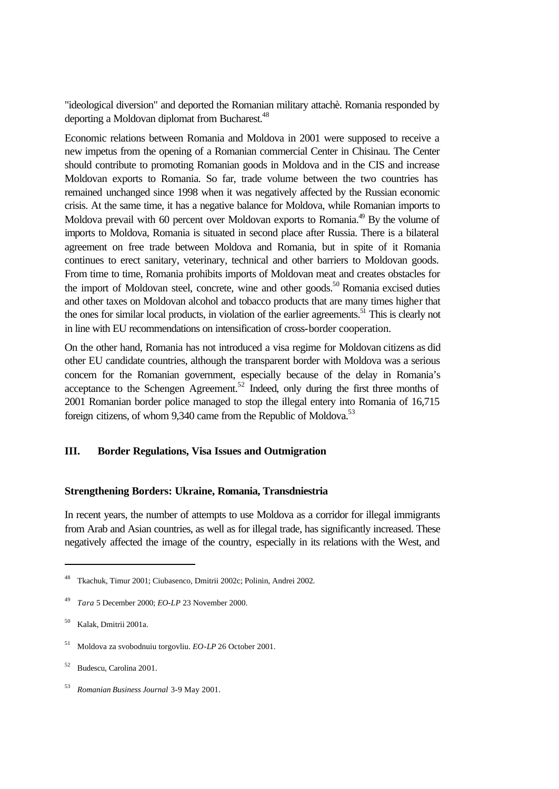"ideological diversion" and deported the Romanian military attachè. Romania responded by deporting a Moldovan diplomat from Bucharest.<sup>48</sup>

Economic relations between Romania and Moldova in 2001 were supposed to receive a new impetus from the opening of a Romanian commercial Center in Chisinau. The Center should contribute to promoting Romanian goods in Moldova and in the CIS and increase Moldovan exports to Romania. So far, trade volume between the two countries has remained unchanged since 1998 when it was negatively affected by the Russian economic crisis. At the same time, it has a negative balance for Moldova, while Romanian imports to Moldova prevail with 60 percent over Moldovan exports to Romania.<sup>49</sup> By the volume of imports to Moldova, Romania is situated in second place after Russia. There is a bilateral agreement on free trade between Moldova and Romania, but in spite of it Romania continues to erect sanitary, veterinary, technical and other barriers to Moldovan goods. From time to time, Romania prohibits imports of Moldovan meat and creates obstacles for the import of Moldovan steel, concrete, wine and other goods.<sup>50</sup> Romania excised duties and other taxes on Moldovan alcohol and tobacco products that are many times higher that the ones for similar local products, in violation of the earlier agreements.<sup>51</sup> This is clearly not in line with EU recommendations on intensification of cross-border cooperation.

On the other hand, Romania has not introduced a visa regime for Moldovan citizens as did other EU candidate countries, although the transparent border with Moldova was a serious concern for the Romanian government, especially because of the delay in Romania's acceptance to the Schengen Agreement.<sup>52</sup> Indeed, only during the first three months of 2001 Romanian border police managed to stop the illegal entery into Romania of 16,715 foreign citizens, of whom 9,340 came from the Republic of Moldova.<sup>53</sup>

## **III. Border Regulations, Visa Issues and Outmigration**

## **Strengthening Borders: Ukraine, Romania, Transdniestria**

In recent years, the number of attempts to use Moldova as a corridor for illegal immigrants from Arab and Asian countries, as well as for illegal trade, has significantly increased. These negatively affected the image of the country, especially in its relations with the West, and

<sup>48</sup> Tkachuk, Timur 2001; Ciubasenco, Dmitrii 2002c; Polinin, Andrei 2002.

<sup>49</sup> *Tara* 5 December 2000; *EO-LP* 23 November 2000.

<sup>50</sup> Kalak, Dmitrii 2001a.

<sup>51</sup> Moldova za svobodnuiu torgovliu. *EO-LP* 26 October 2001.

<sup>52</sup> Budescu, Carolina 2001.

<sup>53</sup> *Romanian Business Journal* 3-9 May 2001.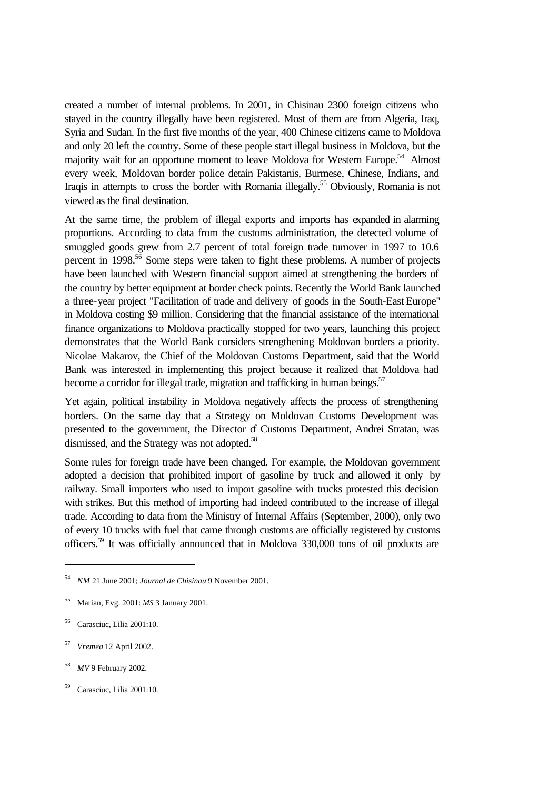created a number of internal problems. In 2001, in Chisinau 2300 foreign citizens who stayed in the country illegally have been registered. Most of them are from Algeria, Iraq, Syria and Sudan. In the first five months of the year, 400 Chinese citizens came to Moldova and only 20 left the country. Some of these people start illegal business in Moldova, but the majority wait for an opportune moment to leave Moldova for Western Europe.<sup>54</sup> Almost every week, Moldovan border police detain Pakistanis, Burmese, Chinese, Indians, and Iraqis in attempts to cross the border with Romania illegally.<sup>55</sup> Obviously, Romania is not viewed as the final destination.

At the same time, the problem of illegal exports and imports has expanded in alarming proportions. According to data from the customs administration, the detected volume of smuggled goods grew from 2.7 percent of total foreign trade turnover in 1997 to 10.6 percent in 1998.<sup>56</sup> Some steps were taken to fight these problems. A number of projects have been launched with Western financial support aimed at strengthening the borders of the country by better equipment at border check points. Recently the World Bank launched a three-year project "Facilitation of trade and delivery of goods in the South-East Europe" in Moldova costing \$9 million. Considering that the financial assistance of the international finance organizations to Moldova practically stopped for two years, launching this project demonstrates that the World Bank considers strengthening Moldovan borders a priority. Nicolae Makarov, the Chief of the Moldovan Customs Department, said that the World Bank was interested in implementing this project because it realized that Moldova had become a corridor for illegal trade, migration and trafficking in human beings.<sup>57</sup>

Yet again, political instability in Moldova negatively affects the process of strengthening borders. On the same day that a Strategy on Moldovan Customs Development was presented to the government, the Director of Customs Department, Andrei Stratan, was dismissed, and the Strategy was not adopted.<sup>58</sup>

Some rules for foreign trade have been changed. For example, the Moldovan government adopted a decision that prohibited import of gasoline by truck and allowed it only by railway. Small importers who used to import gasoline with trucks protested this decision with strikes. But this method of importing had indeed contributed to the increase of illegal trade. According to data from the Ministry of Internal Affairs (September, 2000), only two of every 10 trucks with fuel that came through customs are officially registered by customs officers.<sup>59</sup> It was officially announced that in Moldova 330,000 tons of oil products are

- <sup>57</sup> *Vremea* 12 April 2002.
- <sup>58</sup> *MV* 9 February 2002.
- Carasciuc, Lilia 2001:10.

<sup>54</sup> *NM* 21 June 2001; *Journal de Chisinau* 9 November 2001.

<sup>55</sup> Marian, Evg. 2001: *MS* 3 January 2001.

<sup>56</sup> Carasciuc, Lilia 2001:10.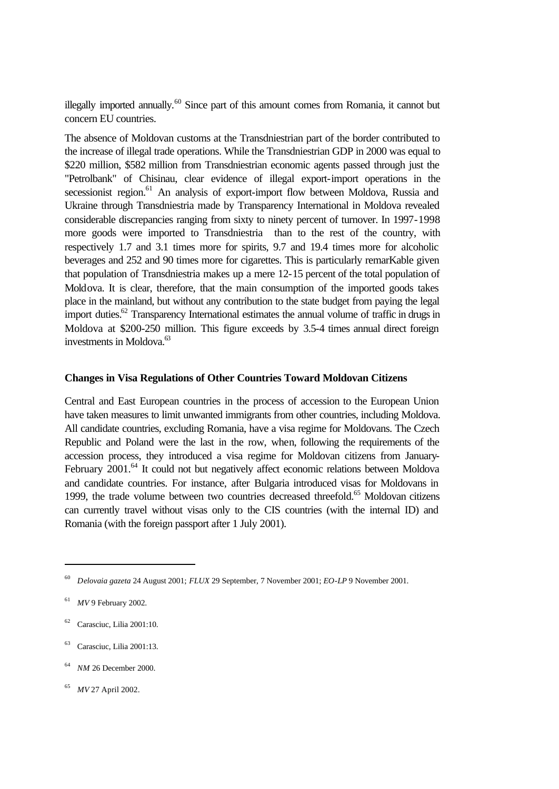illegally imported annually.<sup>60</sup> Since part of this amount comes from Romania, it cannot but concern EU countries.

The absence of Moldovan customs at the Transdniestrian part of the border contributed to the increase of illegal trade operations. While the Transdniestrian GDP in 2000 was equal to \$220 million, \$582 million from Transdniestrian economic agents passed through just the "Petrolbank" of Chisinau, clear evidence of illegal export-import operations in the secessionist region.<sup>61</sup> An analysis of export-import flow between Moldova, Russia and Ukraine through Transdniestria made by Transparency International in Moldova revealed considerable discrepancies ranging from sixty to ninety percent of turnover. In 1997-1998 more goods were imported to Transdniestria than to the rest of the country, with respectively 1.7 and 3.1 times more for spirits, 9.7 and 19.4 times more for alcoholic beverages and 252 and 90 times more for cigarettes. This is particularly remarKable given that population of Transdniestria makes up a mere 12-15 percent of the total population of Moldova. It is clear, therefore, that the main consumption of the imported goods takes place in the mainland, but without any contribution to the state budget from paying the legal import duties.<sup>62</sup> Transparency International estimates the annual volume of traffic in drugs in Moldova at \$200-250 million. This figure exceeds by 3.5-4 times annual direct foreign investments in Moldova. $^{63}$ 

#### **Changes in Visa Regulations of Other Countries Toward Moldovan Citizens**

Central and East European countries in the process of accession to the European Union have taken measures to limit unwanted immigrants from other countries, including Moldova. All candidate countries, excluding Romania, have a visa regime for Moldovans. The Czech Republic and Poland were the last in the row, when, following the requirements of the accession process, they introduced a visa regime for Moldovan citizens from January-February 2001.<sup>64</sup> It could not but negatively affect economic relations between Moldova and candidate countries. For instance, after Bulgaria introduced visas for Moldovans in 1999, the trade volume between two countries decreased threefold.<sup>65</sup> Moldovan citizens can currently travel without visas only to the CIS countries (with the internal ID) and Romania (with the foreign passport after 1 July 2001).

<sup>60</sup> *Delovaia gazeta* 24 August 2001; *FLUX* 29 September, 7 November 2001; *EO-LP* 9 November 2001.

<sup>61</sup> *MV* 9 February 2002.

<sup>62</sup> Carasciuc, Lilia 2001:10.

<sup>63</sup> Carasciuc, Lilia 2001:13.

<sup>64</sup> *NM* 26 December 2000.

<sup>65</sup> *MV* 27 April 2002.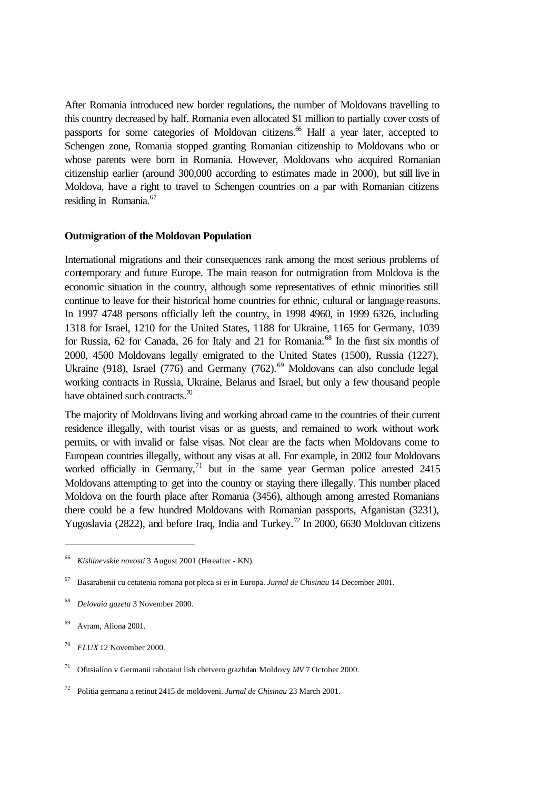After Romania introduced new border regulations, the number of Moldovans travelling to this country decreased by half. Romania even allocated \$1 million to partially cover costs of passports for some categories of Moldovan citizens.<sup>66</sup> Half a year later, accepted to Schengen zone, Romania stopped granting Romanian citizenship to Moldovans who or whose parents were born in Romania. However, Moldovans who acquired Romanian citizenship earlier (around 300,000 according to estimates made in 2000), but still live in Moldova, have a right to travel to Schengen countries on a par with Romanian citizens residing in Romania.<sup>67</sup>

#### **Outmigration of the Moldovan Population**

International migrations and their consequences rank among the most serious problems of contemporary and future Europe. The main reason for outmigration from Moldova is the economic situation in the country, although some representatives of ethnic minorities still continue to leave for their historical home countries for ethnic, cultural or language reasons. In 1997 4748 persons officially left the country, in 1998 4960, in 1999 6326, including 1318 for Israel, 1210 for the United States, 1188 for Ukraine, 1165 for Germany, 1039 for Russia, 62 for Canada, 26 for Italy and 21 for Romania.<sup>68</sup> In the first six months of 2000, 4500 Moldovans legally emigrated to the United States (1500), Russia (1227), Ukraine (918), Israel (776) and Germany (762).<sup>69</sup> Moldovans can also conclude legal working contracts in Russia, Ukraine, Belarus and Israel, but only a few thousand people have obtained such contracts.<sup>70</sup>

The majority of Moldovans living and working abroad came to the countries of their current residence illegally, with tourist visas or as guests, and remained to work without work permits, or with invalid or false visas. Not clear are the facts when Moldovans come to European countries illegally, without any visas at all. For example, in 2002 four Moldovans worked officially in Germany,<sup>71</sup> but in the same year German police arrested  $2415$ Moldovans attempting to get into the country or staying there illegally. This number placed Moldova on the fourth place after Romania (3456), although among arrested Romanians there could be a few hundred Moldovans with Romanian passports, Afganistan (3231), Yugoslavia (2822), and before Iraq, India and Turkey.<sup>72</sup> In 2000, 6630 Moldovan citizens

<sup>66</sup> *Kishinevskie novosti* 3 August 2001 (Hereafter - KN).

<sup>67</sup> Basarabenii cu cetatenia romana pot pleca si ei in Europa. *Jurnal de Chisinau* 14 December 2001.

<sup>68</sup> *Delovaia gazeta* 3 November 2000.

<sup>69</sup> Avram, Aliona 2001.

<sup>70</sup> *FLUX* 12 November 2000.

<sup>71</sup> Ofitsialíno v Germanii rabotaiut lish chetvero grazhdan Moldovy *MV* 7 October 2000.

<sup>72</sup> Politia germana a retinut 2415 de moldoveni. *Jurnal de Chisinau* 23 March 2001.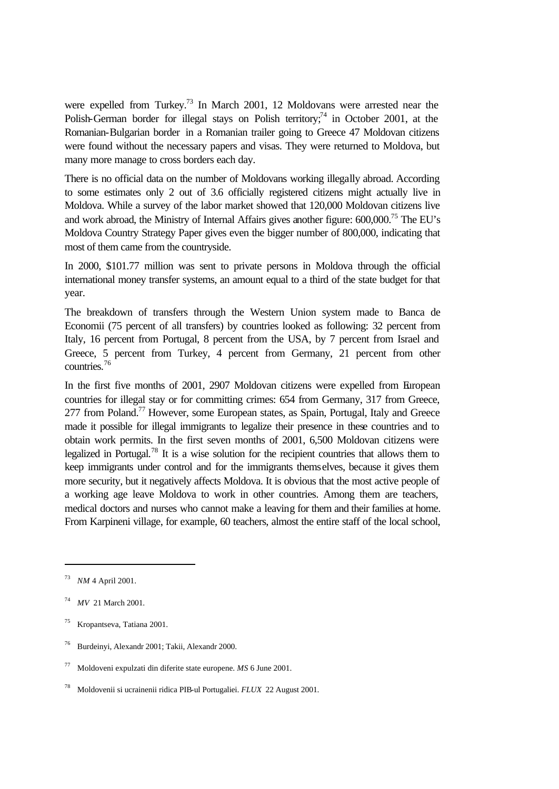were expelled from Turkey.<sup>73</sup> In March 2001, 12 Moldovans were arrested near the Polish-German border for illegal stays on Polish territory;<sup>74</sup> in October 2001, at the Romanian-Bulgarian border in a Romanian trailer going to Greece 47 Moldovan citizens were found without the necessary papers and visas. They were returned to Moldova, but many more manage to cross borders each day.

There is no official data on the number of Moldovans working illegally abroad. According to some estimates only 2 out of 3.6 officially registered citizens might actually live in Moldova. While a survey of the labor market showed that 120,000 Moldovan citizens live and work abroad, the Ministry of Internal Affairs gives another figure: 600,000.<sup>75</sup> The EU's Moldova Country Strategy Paper gives even the bigger number of 800,000, indicating that most of them came from the countryside.

In 2000, \$101.77 million was sent to private persons in Moldova through the official international money transfer systems, an amount equal to a third of the state budget for that year.

The breakdown of transfers through the Western Union system made to Banca de Economii (75 percent of all transfers) by countries looked as following: 32 percent from Italy, 16 percent from Portugal, 8 percent from the USA, by 7 percent from Israel and Greece, 5 percent from Turkey, 4 percent from Germany, 21 percent from other countries.<sup>76</sup>

In the first five months of 2001, 2907 Moldovan citizens were expelled from European countries for illegal stay or for committing crimes: 654 from Germany, 317 from Greece,  $277$  from Poland.<sup>77</sup> However, some European states, as Spain, Portugal, Italy and Greece made it possible for illegal immigrants to legalize their presence in these countries and to obtain work permits. In the first seven months of 2001, 6,500 Moldovan citizens were legalized in Portugal.<sup>78</sup> It is a wise solution for the recipient countries that allows them to keep immigrants under control and for the immigrants themselves, because it gives them more security, but it negatively affects Moldova. It is obvious that the most active people of a working age leave Moldova to work in other countries. Among them are teachers, medical doctors and nurses who cannot make a leaving for them and their families at home. From Karpineni village, for example, 60 teachers, almost the entire staff of the local school,

<sup>73</sup> *NM* 4 April 2001.

<sup>74</sup> *MV* 21 March 2001.

<sup>75</sup> Kropantseva, Tatiana 2001.

<sup>76</sup> Burdeinyi, Alexandr 2001; Takii, Alexandr 2000.

<sup>77</sup> Moldoveni expulzati din diferite state europene. *MS* 6 June 2001.

<sup>78</sup> Moldovenii si ucrainenii ridica PIB-ul Portugaliei. *FLUX* 22 August 2001.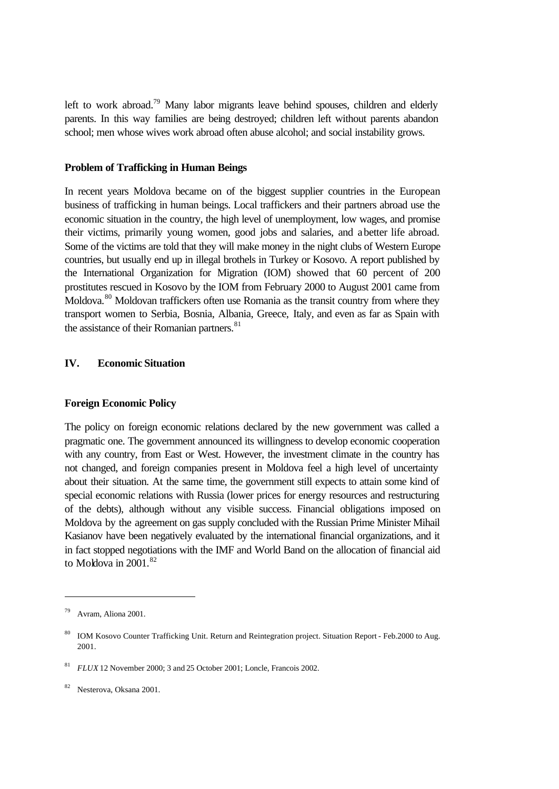left to work abroad.<sup>79</sup> Many labor migrants leave behind spouses, children and elderly parents. In this way families are being destroyed; children left without parents abandon school; men whose wives work abroad often abuse alcohol; and social instability grows.

#### **Problem of Trafficking in Human Beings**

In recent years Moldova became on of the biggest supplier countries in the European business of trafficking in human beings. Local traffickers and their partners abroad use the economic situation in the country, the high level of unemployment, low wages, and promise their victims, primarily young women, good jobs and salaries, and a better life abroad. Some of the victims are told that they will make money in the night clubs of Western Europe countries, but usually end up in illegal brothels in Turkey or Kosovo. A report published by the International Organization for Migration (IOM) showed that 60 percent of 200 prostitutes rescued in Kosovo by the IOM from February 2000 to August 2001 came from Moldova.<sup>80</sup> Moldovan traffickers often use Romania as the transit country from where they transport women to Serbia, Bosnia, Albania, Greece, Italy, and even as far as Spain with the assistance of their Romanian partners.<sup>81</sup>

## **IV. Economic Situation**

#### **Foreign Economic Policy**

The policy on foreign economic relations declared by the new government was called a pragmatic one. The government announced its willingness to develop economic cooperation with any country, from East or West. However, the investment climate in the country has not changed, and foreign companies present in Moldova feel a high level of uncertainty about their situation. At the same time, the government still expects to attain some kind of special economic relations with Russia (lower prices for energy resources and restructuring of the debts), although without any visible success. Financial obligations imposed on Moldova by the agreement on gas supply concluded with the Russian Prime Minister Mihail Kasianov have been negatively evaluated by the international financial organizations, and it in fact stopped negotiations with the IMF and World Band on the allocation of financial aid to Moldova in  $2001$ .<sup>82</sup>

 $\overline{a}$ 

Avram, Aliona 2001.

<sup>&</sup>lt;sup>80</sup> IOM Kosovo Counter Trafficking Unit. Return and Reintegration project. Situation Report - Feb.2000 to Aug. 2001.

<sup>81</sup> *FLUX* 12 November 2000; 3 and 25 October 2001; Loncle, Francois 2002.

Nesterova, Oksana 2001.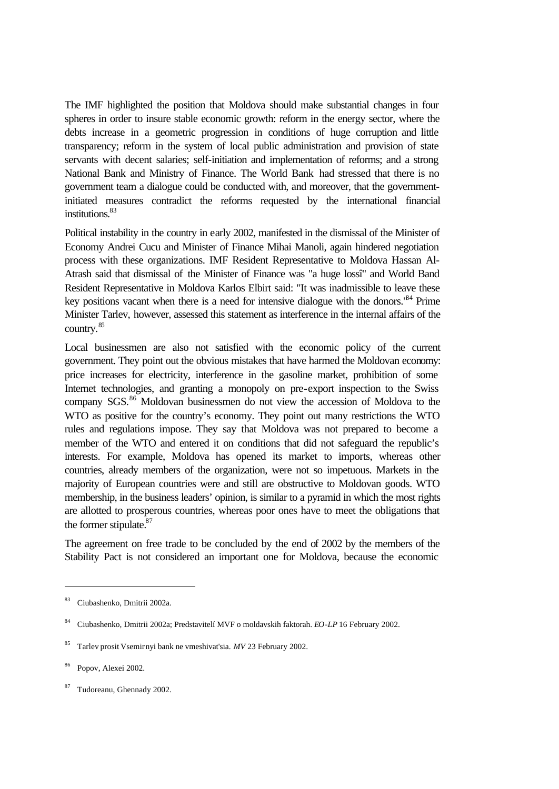The IMF highlighted the position that Moldova should make substantial changes in four spheres in order to insure stable economic growth: reform in the energy sector, where the debts increase in a geometric progression in conditions of huge corruption and little transparency; reform in the system of local public administration and provision of state servants with decent salaries; self-initiation and implementation of reforms; and a strong National Bank and Ministry of Finance. The World Bank had stressed that there is no government team a dialogue could be conducted with, and moreover, that the governmentinitiated measures contradict the reforms requested by the international financial  $in$ stitutions.  $83$ 

Political instability in the country in early 2002, manifested in the dismissal of the Minister of Economy Andrei Cucu and Minister of Finance Mihai Manoli, again hindered negotiation process with these organizations. IMF Resident Representative to Moldova Hassan Al-Atrash said that dismissal of the Minister of Finance was "a huge lossî" and World Band Resident Representative in Moldova Karlos Elbirt said: "It was inadmissible to leave these key positions vacant when there is a need for intensive dialogue with the donors."<sup>84</sup> Prime Minister Tarlev, however, assessed this statement as interference in the internal affairs of the country.<sup>85</sup>

Local businessmen are also not satisfied with the economic policy of the current government. They point out the obvious mistakes that have harmed the Moldovan economy: price increases for electricity, interference in the gasoline market, prohibition of some Internet technologies, and granting a monopoly on pre-export inspection to the Swiss company SGS.<sup>86</sup> Moldovan businessmen do not view the accession of Moldova to the WTO as positive for the country's economy. They point out many restrictions the WTO rules and regulations impose. They say that Moldova was not prepared to become a member of the WTO and entered it on conditions that did not safeguard the republic's interests. For example, Moldova has opened its market to imports, whereas other countries, already members of the organization, were not so impetuous. Markets in the majority of European countries were and still are obstructive to Moldovan goods. WTO membership, in the business leaders' opinion, is similar to a pyramid in which the most rights are allotted to prosperous countries, whereas poor ones have to meet the obligations that the former stipulate. $87$ 

The agreement on free trade to be concluded by the end of 2002 by the members of the Stability Pact is not considered an important one for Moldova, because the economic

<sup>83</sup> Ciubashenko, Dmitrii 2002a.

<sup>84</sup> Ciubashenko, Dmitrii 2002a; Predstavitelí MVF o moldavskih faktorah. *EO-LP* 16 February 2002.

<sup>85</sup> Tarlev prosit Vsemirnyi bank ne vmeshivat'sia. *MV* 23 February 2002.

Popov, Alexei 2002.

<sup>87</sup> Tudoreanu, Ghennady 2002.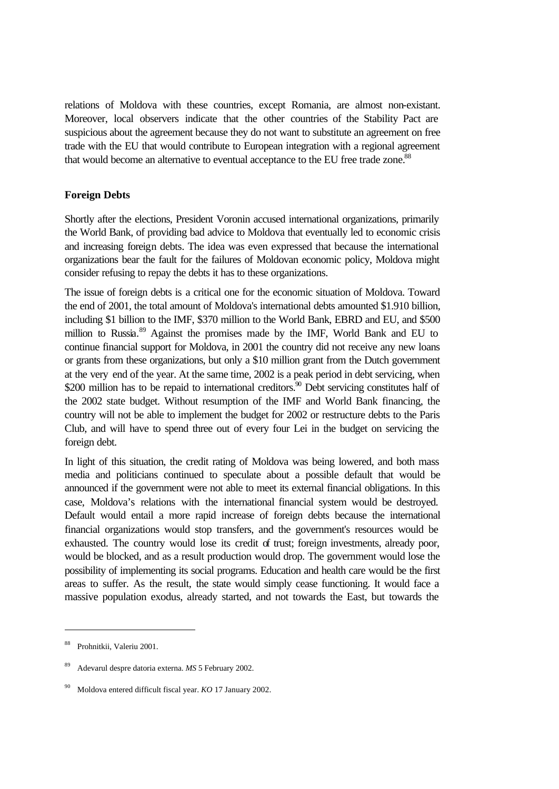relations of Moldova with these countries, except Romania, are almost non-existant. Moreover, local observers indicate that the other countries of the Stability Pact are suspicious about the agreement because they do not want to substitute an agreement on free trade with the EU that would contribute to European integration with a regional agreement that would become an alternative to eventual acceptance to the EU free trade zone.<sup>88</sup>

## **Foreign Debts**

Shortly after the elections, President Voronin accused international organizations, primarily the World Bank, of providing bad advice to Moldova that eventually led to economic crisis and increasing foreign debts. The idea was even expressed that because the international organizations bear the fault for the failures of Moldovan economic policy, Moldova might consider refusing to repay the debts it has to these organizations.

The issue of foreign debts is a critical one for the economic situation of Moldova. Toward the end of 2001, the total amount of Moldova's international debts amounted \$1.910 billion, including \$1 billion to the IMF, \$370 million to the World Bank, EBRD and EU, and \$500 million to Russia.<sup>89</sup> Against the promises made by the IMF, World Bank and EU to continue financial support for Moldova, in 2001 the country did not receive any new loans or grants from these organizations, but only a \$10 million grant from the Dutch government at the very end of the year. At the same time, 2002 is a peak period in debt servicing, when \$200 million has to be repaid to international creditors.  $\frac{90}{2}$  Debt servicing constitutes half of the 2002 state budget. Without resumption of the IMF and World Bank financing, the country will not be able to implement the budget for 2002 or restructure debts to the Paris Club, and will have to spend three out of every four Lei in the budget on servicing the foreign debt.

In light of this situation, the credit rating of Moldova was being lowered, and both mass media and politicians continued to speculate about a possible default that would be announced if the government were not able to meet its external financial obligations. In this case, Moldova's relations with the international financial system would be destroyed. Default would entail a more rapid increase of foreign debts because the international financial organizations would stop transfers, and the government's resources would be exhausted. The country would lose its credit of trust; foreign investments, already poor, would be blocked, and as a result production would drop. The government would lose the possibility of implementing its social programs. Education and health care would be the first areas to suffer. As the result, the state would simply cease functioning. It would face a massive population exodus, already started, and not towards the East, but towards the

<sup>88</sup> Prohnitkii, Valeriu 2001.

<sup>89</sup> Adevarul despre datoria externa. *MS* 5 February 2002.

<sup>90</sup> Moldova entered difficult fiscal year. *KO* 17 January 2002.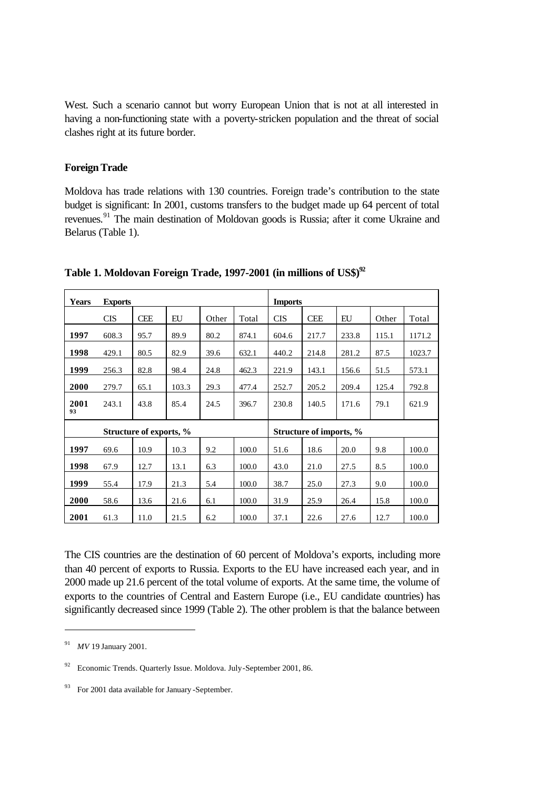West. Such a scenario cannot but worry European Union that is not at all interested in having a non-functioning state with a poverty-stricken population and the threat of social clashes right at its future border.

#### **Foreign Trade**

Moldova has trade relations with 130 countries. Foreign trade's contribution to the state budget is significant: In 2001, customs transfers to the budget made up 64 percent of total revenues.<sup>91</sup> The main destination of Moldovan goods is Russia; after it come Ukraine and Belarus (Table 1).

| <b>Years</b> | <b>Exports</b> |                         |       |       | <b>Imports</b> |                         |            |       |       |        |  |  |
|--------------|----------------|-------------------------|-------|-------|----------------|-------------------------|------------|-------|-------|--------|--|--|
|              | <b>CIS</b>     | <b>CEE</b>              | EU    | Other | Total          | <b>CIS</b>              | <b>CEE</b> | EU    | Other | Total  |  |  |
| 1997         | 608.3          | 95.7                    | 89.9  | 80.2  | 874.1          | 604.6                   | 217.7      | 233.8 | 115.1 | 1171.2 |  |  |
| 1998         | 429.1          | 80.5                    | 82.9  | 39.6  | 632.1          | 440.2                   | 214.8      | 281.2 | 87.5  | 1023.7 |  |  |
| 1999         | 256.3          | 82.8                    | 98.4  | 24.8  | 462.3          | 221.9                   | 143.1      | 156.6 | 51.5  | 573.1  |  |  |
| 2000         | 279.7          | 65.1                    | 103.3 | 29.3  | 477.4          | 252.7                   | 205.2      | 209.4 | 125.4 | 792.8  |  |  |
| 2001<br>93   | 243.1          | 43.8                    | 85.4  | 24.5  | 396.7          | 230.8                   | 140.5      | 171.6 | 79.1  | 621.9  |  |  |
|              |                | Structure of exports, % |       |       |                | Structure of imports, % |            |       |       |        |  |  |
| 1997         | 69.6           | 10.9                    | 10.3  | 9.2   | 100.0          | 51.6                    | 18.6       | 20.0  | 9.8   | 100.0  |  |  |
| 1998         | 67.9           | 12.7                    | 13.1  | 6.3   | 100.0          | 43.0                    | 21.0       | 27.5  | 8.5   | 100.0  |  |  |
| 1999         | 55.4           | 17.9                    | 21.3  | 5.4   | 100.0          | 38.7                    | 25.0       | 27.3  | 9.0   | 100.0  |  |  |
| 2000         | 58.6           | 13.6                    | 21.6  | 6.1   | 100.0          | 31.9                    | 25.9       | 26.4  | 15.8  | 100.0  |  |  |
| 2001         | 61.3           | 11.0                    | 21.5  | 6.2   | 100.0          | 37.1                    | 22.6       | 27.6  | 12.7  | 100.0  |  |  |

**Table 1. Moldovan Foreign Trade, 1997-2001 (in millions of US\$)<sup>92</sup>**

The CIS countries are the destination of 60 percent of Moldova's exports, including more than 40 percent of exports to Russia. Exports to the EU have increased each year, and in 2000 made up 21.6 percent of the total volume of exports. At the same time, the volume of exports to the countries of Central and Eastern Europe (i.e., EU candidate countries) has significantly decreased since 1999 (Table 2). The other problem is that the balance between

<sup>91</sup> *MV* 19 January 2001.

<sup>92</sup> Economic Trends. Quarterly Issue. Moldova. July-September 2001, 86.

<sup>&</sup>lt;sup>93</sup> For 2001 data available for January -September.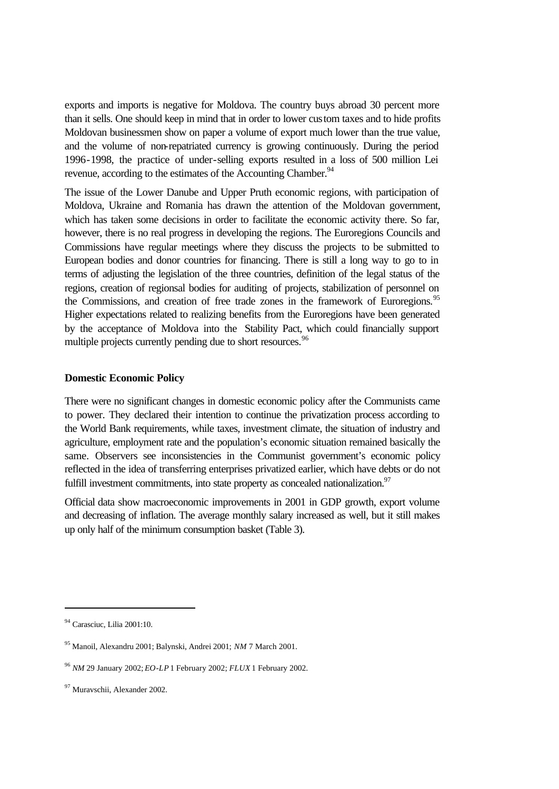exports and imports is negative for Moldova. The country buys abroad 30 percent more than it sells. One should keep in mind that in order to lower custom taxes and to hide profits Moldovan businessmen show on paper a volume of export much lower than the true value, and the volume of non-repatriated currency is growing continuously. During the period 1996-1998, the practice of under-selling exports resulted in a loss of 500 million Lei revenue, according to the estimates of the Accounting Chamber.<sup>94</sup>

The issue of the Lower Danube and Upper Pruth economic regions, with participation of Moldova, Ukraine and Romania has drawn the attention of the Moldovan government, which has taken some decisions in order to facilitate the economic activity there. So far, however, there is no real progress in developing the regions. The Euroregions Councils and Commissions have regular meetings where they discuss the projects to be submitted to European bodies and donor countries for financing. There is still a long way to go to in terms of adjusting the legislation of the three countries, definition of the legal status of the regions, creation of regionsal bodies for auditing of projects, stabilization of personnel on the Commissions, and creation of free trade zones in the framework of Euroregions.<sup>95</sup> Higher expectations related to realizing benefits from the Euroregions have been generated by the acceptance of Moldova into the Stability Pact, which could financially support multiple projects currently pending due to short resources.<sup>96</sup>

#### **Domestic Economic Policy**

There were no significant changes in domestic economic policy after the Communists came to power. They declared their intention to continue the privatization process according to the World Bank requirements, while taxes, investment climate, the situation of industry and agriculture, employment rate and the population's economic situation remained basically the same. Observers see inconsistencies in the Communist government's economic policy reflected in the idea of transferring enterprises privatized earlier, which have debts or do not fulfill investment commitments, into state property as concealed nationalization.<sup>97</sup>

Official data show macroeconomic improvements in 2001 in GDP growth, export volume and decreasing of inflation. The average monthly salary increased as well, but it still makes up only half of the minimum consumption basket (Table 3).

<sup>94</sup> Carasciuc, Lilia 2001:10.

<sup>95</sup> Manoil, Alexandru 2001; Balynski, Andrei 2001; *NM* 7 March 2001.

<sup>96</sup> *NM* 29 January 2002; *EO-LP* 1 February 2002; *FLUX* 1 February 2002.

<sup>97</sup> Muravschii, Alexander 2002.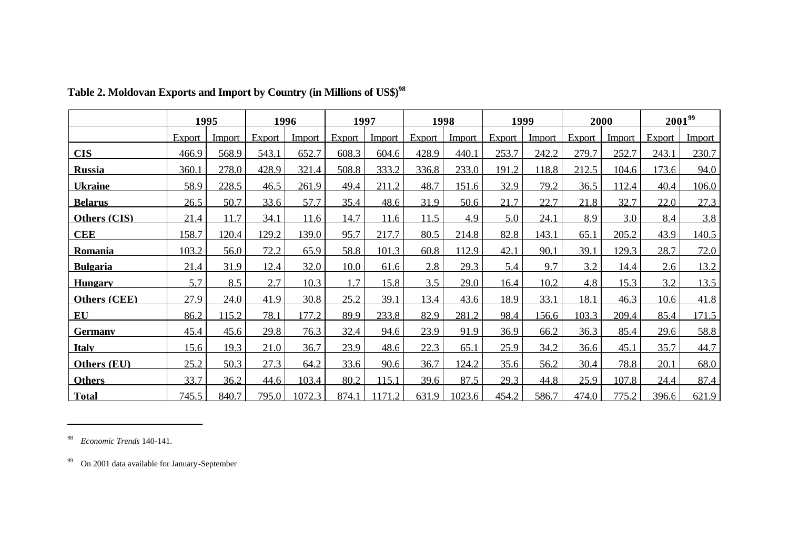|                     | 1995   |        | 1996          |               | 1997   |        | 1998   |        | 1999   |        | 2000          |        | $2001^{99}$   |        |
|---------------------|--------|--------|---------------|---------------|--------|--------|--------|--------|--------|--------|---------------|--------|---------------|--------|
|                     | Export | Import | <b>Export</b> | <b>Import</b> | Export | Import | Export | Import | Export | Import | <b>Export</b> | Import | <b>Export</b> | Import |
| <b>CIS</b>          | 466.9  | 568.9  | 543.1         | 652.7         | 608.3  | 604.6  | 428.9  | 440.1  | 253.7  | 242.2  | 279.7         | 252.7  | 243.1         | 230.7  |
| <b>Russia</b>       | 360.1  | 278.0  | 428.9         | 321.4         | 508.8  | 333.2  | 336.8  | 233.0  | 191.2  | 18.8   | 212.5         | 104.6  | 173.6         | 94.0   |
| <b>Ukraine</b>      | 58.9   | 228.5  | 46.5          | 261.9         | 49.4   | 211.2  | 48.7   | 151.6  | 32.9   | 79.2   | 36.5          | 12.4   | 40.4          | 106.0  |
| <b>Belarus</b>      | 26.5   | 50.7   | 33.6          | 57.7          | 35.4   | 48.6   | 31.9   | 50.6   | 21.7   | 22.7   | 21.8          | 32.7   | 22.0          | 27.3   |
| Others (CIS)        | 21.4   | 11.7   | 34.1          | 11.6          | 14.7   | 11.6   | 11.5   | 4.9    | 5.0    | 24.1   | 8.9           | 3.0    | 8.4           | 3.8    |
| <b>CEE</b>          | 158.7  | 120.4  | 129.2         | 139.0         | 95.7   | 217.7  | 80.5   | 214.8  | 82.8   | 143.1  | 65.1          | 205.2  | 43.9          | 140.5  |
| Romania             | 103.2  | 56.0   | 72.2          | 65.9          | 58.8   | 101.3  | 60.8   | 112.9  | 42.1   | 90.1   | 39.1          | 129.3  | 28.7          | 72.0   |
| <b>Bulgaria</b>     | 21.4   | 31.9   | 12.4          | 32.0          | 10.0   | 61.6   | 2.8    | 29.3   | 5.4    | 9.7    | 3.2           | 14.4   | 2.6           | 13.2   |
| <b>Hungary</b>      | 5.7    | 8.5    | 2.7           | 10.3          | $\tau$ | 15.8   | 3.5    | 29.0   | 16.4   | 10.2   | 4.8           | 15.3   | 3.2           | 13.5   |
| <b>Others (CEE)</b> | 27.9   | 24.0   | 41.9          | 30.8          | 25.2   | 39.1   | 13.4   | 43.6   | 18.9   | 33.1   | 18.1          | 46.3   | 10.6          | 41.8   |
| EU                  | 86.2   | 15.2   | 78.1          | 177.2         | 89.9   | 233.8  | 82.9   | 281.2  | 98.4   | 156.6  | 103.3         | 209.4  | 85.4          | 171.5  |
| <b>Germany</b>      | 45.4   | 45.6   | 29.8          | 76.3          | 32.4   | 94.6   | 23.9   | 91.9   | 36.9   | 66.2   | 36.3          | 85.4   | 29.6          | 58.8   |
| <b>Italy</b>        | 15.6   | 19.3   | 21.0          | 36.7          | 23.9   | 48.6   | 22.3   | 65.1   | 25.9   | 34.2   | 36.6          | 45.1   | 35.7          | 44.7   |
| Others (EU)         | 25.2   | 50.3   | 27.3          | 64.2          | 33.6   | 90.6   | 36.7   | 124.2  | 35.6   | 56.2   | 30.4          | 78.8   | 20.1          | 68.0   |
| <b>Others</b>       | 33.7   | 36.2   | 44.6          | 103.4         | 80.2   | 115.1  | 39.6   | 87.5   | 29.3   | 44.8   | 25.9          | 107.8  | 24.4          | 87.4   |
| <b>Total</b>        | 745.5  | 840.7  | 795.0         | 1072.3        | 874.1  | 171.2  | 631.9  | 1023.6 | 454.2  | 586.7  | 474.0         | 775.2  | 396.6         | 621.9  |

**Table 2. Moldovan Exports and Import by Country (in Millions of US\$)<sup>98</sup>**

<sup>98</sup> *Economic Trends* 140-141.

l

<sup>99</sup> On 2001 data available for January-September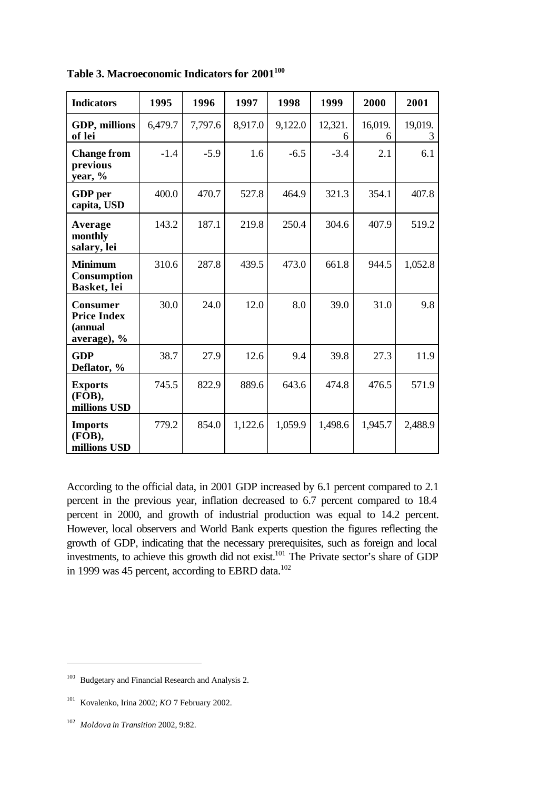| <b>Indicators</b>                                               | 1995    | 1996    | 1997    | 1998    | 1999         | 2000         | 2001         |
|-----------------------------------------------------------------|---------|---------|---------|---------|--------------|--------------|--------------|
| GDP, millions<br>of lei                                         | 6,479.7 | 7,797.6 | 8,917.0 | 9,122.0 | 12,321.<br>6 | 16,019.<br>6 | 19,019.<br>3 |
| <b>Change from</b><br>previous<br>year, %                       | $-1.4$  | $-5.9$  | 1.6     | $-6.5$  | $-3.4$       | 2.1          | 6.1          |
| <b>GDP</b> per<br>capita, USD                                   | 400.0   | 470.7   | 527.8   | 464.9   | 321.3        | 354.1        | 407.8        |
| Average<br>monthly<br>salary, lei                               | 143.2   | 187.1   | 219.8   | 250.4   | 304.6        | 407.9        | 519.2        |
| <b>Minimum</b><br>Consumption<br>Basket, lei                    | 310.6   | 287.8   | 439.5   | 473.0   | 661.8        | 944.5        | 1,052.8      |
| <b>Consumer</b><br><b>Price Index</b><br>(annual<br>average), % | 30.0    | 24.0    | 12.0    | 8.0     | 39.0         | 31.0         | 9.8          |
| <b>GDP</b><br>Deflator, %                                       | 38.7    | 27.9    | 12.6    | 9.4     | 39.8         | 27.3         | 11.9         |
| <b>Exports</b><br>(FOB),<br>millions USD                        | 745.5   | 822.9   | 889.6   | 643.6   | 474.8        | 476.5        | 571.9        |
| <b>Imports</b><br>(FOB),<br>millions USD                        | 779.2   | 854.0   | 1,122.6 | 1,059.9 | 1,498.6      | 1,945.7      | 2,488.9      |

**Table 3. Macroeconomic Indicators for 2001<sup>100</sup>**

According to the official data, in 2001 GDP increased by 6.1 percent compared to 2.1 percent in the previous year, inflation decreased to 6.7 percent compared to 18.4 percent in 2000, and growth of industrial production was equal to 14.2 percent. However, local observers and World Bank experts question the figures reflecting the growth of GDP, indicating that the necessary prerequisites, such as foreign and local investments, to achieve this growth did not exist.<sup>101</sup> The Private sector's share of GDP in 1999 was 45 percent, according to EBRD data. $102$ 

<sup>&</sup>lt;sup>100</sup> Budgetary and Financial Research and Analysis 2.

<sup>101</sup> Kovalenko, Irina 2002; *KO* 7 February 2002.

<sup>102</sup> *Moldova in Transition* 2002, 9:82.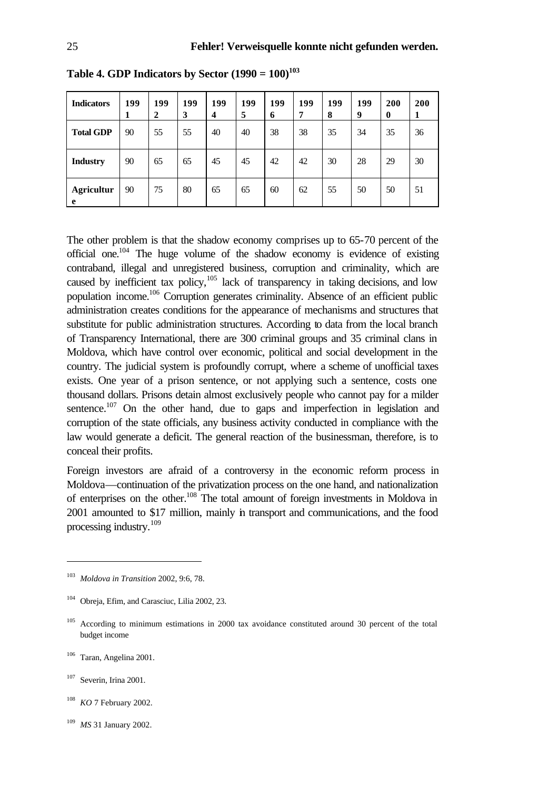| <b>Indicators</b>      | 199 | 199<br>$\mathbf{2}$ | 199<br>3 | 199<br>$\overline{\mathbf{4}}$ | 199<br>5 | 199<br>6 | 199<br>7 | 199<br>8 | 199<br>9 | 200<br>$\mathbf{0}$ | 200<br>1 |
|------------------------|-----|---------------------|----------|--------------------------------|----------|----------|----------|----------|----------|---------------------|----------|
| <b>Total GDP</b>       | 90  | 55                  | 55       | 40                             | 40       | 38       | 38       | 35       | 34       | 35                  | 36       |
| <b>Industry</b>        | 90  | 65                  | 65       | 45                             | 45       | 42       | 42       | 30       | 28       | 29                  | 30       |
| <b>Agricultur</b><br>e | 90  | 75                  | 80       | 65                             | 65       | 60       | 62       | 55       | 50       | 50                  | 51       |

**Table 4. GDP Indicators by Sector**  $(1990 = 100)^{103}$ 

The other problem is that the shadow economy comprises up to 65-70 percent of the official one.<sup>104</sup> The huge volume of the shadow economy is evidence of existing contraband, illegal and unregistered business, corruption and criminality, which are caused by inefficient tax policy, $105$  lack of transparency in taking decisions, and low population income.<sup>106</sup> Corruption generates criminality. Absence of an efficient public administration creates conditions for the appearance of mechanisms and structures that substitute for public administration structures. According to data from the local branch of Transparency International, there are 300 criminal groups and 35 criminal clans in Moldova, which have control over economic, political and social development in the country. The judicial system is profoundly corrupt, where a scheme of unofficial taxes exists. One year of a prison sentence, or not applying such a sentence, costs one thousand dollars. Prisons detain almost exclusively people who cannot pay for a milder sentence.<sup>107</sup> On the other hand, due to gaps and imperfection in legislation and corruption of the state officials, any business activity conducted in compliance with the law would generate a deficit. The general reaction of the businessman, therefore, is to conceal their profits.

Foreign investors are afraid of a controversy in the economic reform process in Moldova—continuation of the privatization process on the one hand, and nationalization of enterprises on the other.<sup>108</sup> The total amount of foreign investments in Moldova in 2001 amounted to \$17 million, mainly in transport and communications, and the food processing industry.<sup>109</sup>

<sup>107</sup> Severin, Irina 2001.

- <sup>108</sup> *KO* 7 February 2002.
- <sup>109</sup> *MS* 31 January 2002.

<sup>103</sup> *Moldova in Transition* 2002, 9:6, 78.

<sup>104</sup> Obreja, Efim, and Carasciuc, Lilia 2002, 23.

<sup>&</sup>lt;sup>105</sup> According to minimum estimations in 2000 tax avoidance constituted around 30 percent of the total budget income

<sup>106</sup> Taran, Angelina 2001.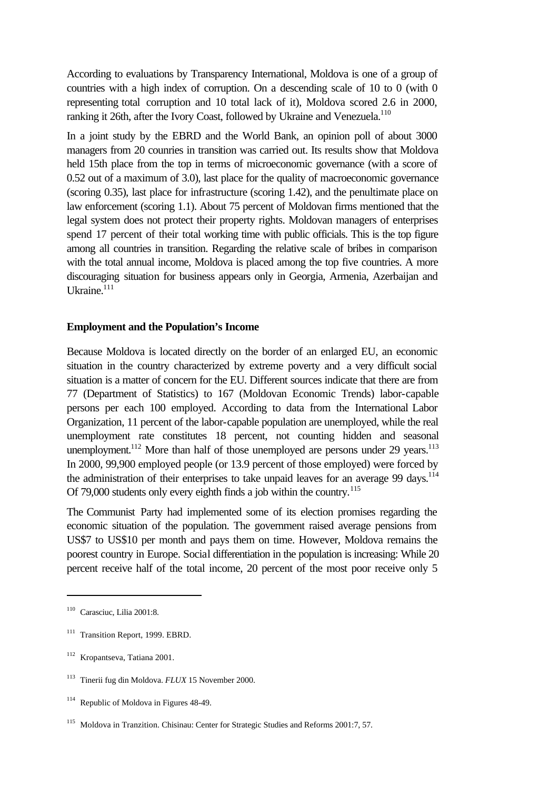According to evaluations by Transparency International, Moldova is one of a group of countries with a high index of corruption. On a descending scale of 10 to 0 (with 0 representing total corruption and 10 total lack of it), Moldova scored 2.6 in 2000, ranking it 26th, after the Ivory Coast, followed by Ukraine and Venezuela.<sup>110</sup>

In a joint study by the EBRD and the World Bank, an opinion poll of about 3000 managers from 20 counries in transition was carried out. Its results show that Moldova held 15th place from the top in terms of microeconomic governance (with a score of 0.52 out of a maximum of 3.0), last place for the quality of macroeconomic governance (scoring 0.35), last place for infrastructure (scoring 1.42), and the penultimate place on law enforcement (scoring 1.1). About 75 percent of Moldovan firms mentioned that the legal system does not protect their property rights. Moldovan managers of enterprises spend 17 percent of their total working time with public officials. This is the top figure among all countries in transition. Regarding the relative scale of bribes in comparison with the total annual income, Moldova is placed among the top five countries. A more discouraging situation for business appears only in Georgia, Armenia, Azerbaijan and Ukraine. $111$ 

#### **Employment and the Population's Income**

Because Moldova is located directly on the border of an enlarged EU, an economic situation in the country characterized by extreme poverty and a very difficult social situation is a matter of concern for the EU. Different sources indicate that there are from 77 (Department of Statistics) to 167 (Moldovan Economic Trends) labor-capable persons per each 100 employed. According to data from the International Labor Organization, 11 percent of the labor-capable population are unemployed, while the real unemployment rate constitutes 18 percent, not counting hidden and seasonal unemployment.<sup>112</sup> More than half of those unemployed are persons under 29 years.<sup>113</sup> In 2000, 99,900 employed people (or 13.9 percent of those employed) were forced by the administration of their enterprises to take unpaid leaves for an average 99 days.<sup>114</sup> Of 79,000 students only every eighth finds a job within the country.<sup>115</sup>

The Communist Party had implemented some of its election promises regarding the economic situation of the population. The government raised average pensions from US\$7 to US\$10 per month and pays them on time. However, Moldova remains the poorest country in Europe. Social differentiation in the population is increasing: While 20 percent receive half of the total income, 20 percent of the most poor receive only 5

<sup>110</sup> Carasciuc, Lilia 2001:8.

<sup>&</sup>lt;sup>111</sup> Transition Report, 1999. EBRD.

<sup>112</sup> Kropantseva, Tatiana 2001.

<sup>113</sup> Tinerii fug din Moldova. *FLUX* 15 November 2000.

<sup>&</sup>lt;sup>114</sup> Republic of Moldova in Figures 48-49.

<sup>115</sup> Moldova in Tranzition. Chisinau: Center for Strategic Studies and Reforms 2001:7, 57.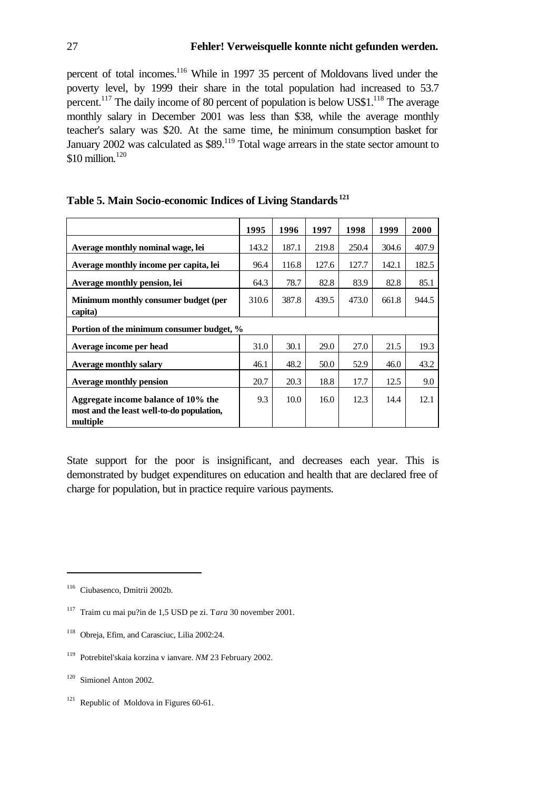percent of total incomes.<sup>116</sup> While in 1997 35 percent of Moldovans lived under the poverty level, by 1999 their share in the total population had increased to 53.7 percent.<sup>117</sup> The daily income of 80 percent of population is below US\$1.<sup>118</sup> The average monthly salary in December 2001 was less than \$38, while the average monthly teacher's salary was \$20. At the same time, the minimum consumption basket for January 2002 was calculated as  $$89$ <sup>119</sup> Total wage arrears in the state sector amount to  $$10$  million.<sup>120</sup>

|                                                                                              | 1995  | 1996  | 1997  | 1998  | 1999  | 2000  |
|----------------------------------------------------------------------------------------------|-------|-------|-------|-------|-------|-------|
| Average monthly nominal wage, lei                                                            | 143.2 | 187.1 | 219.8 | 250.4 | 304.6 | 407.9 |
| Average monthly income per capita, lei                                                       | 96.4  | 116.8 | 127.6 | 127.7 | 142.1 | 182.5 |
| Average monthly pension, lei                                                                 | 64.3  | 78.7  | 82.8  | 83.9  | 82.8  | 85.1  |
| Minimum monthly consumer budget (per<br>capita)                                              | 310.6 | 387.8 | 439.5 | 473.0 | 661.8 | 944.5 |
| Portion of the minimum consumer budget, %                                                    |       |       |       |       |       |       |
| Average income per head                                                                      | 31.0  | 30.1  | 29.0  | 27.0  | 21.5  | 19.3  |
| <b>Average monthly salary</b>                                                                | 46.1  | 48.2  | 50.0  | 52.9  | 46.0  | 43.2  |
| <b>Average monthly pension</b>                                                               | 20.7  | 20.3  | 18.8  | 17.7  | 12.5  | 9.0   |
| Aggregate income balance of 10% the<br>most and the least well-to-do population,<br>multiple | 9.3   | 10.0  | 16.0  | 12.3  | 14.4  | 12.1  |

**Table 5. Main Socio-economic Indices of Living Standards <sup>121</sup>**

State support for the poor is insignificant, and decreases each year. This is demonstrated by budget expenditures on education and health that are declared free of charge for population, but in practice require various payments.

- <sup>118</sup> Obreja, Efim, and Carasciuc, Lilia 2002:24.
- <sup>119</sup> Potrebitel'skaia korzina v ianvare. *NM* 23 February 2002.
- <sup>120</sup> Simionel Anton 2002.
- <sup>121</sup> Republic of Moldova in Figures  $60-61$ .

<sup>116</sup> Ciubasenco, Dmitrii 2002b.

<sup>117</sup> Traim cu mai pu?in de 1,5 USD pe zi. T*ara* 30 november 2001.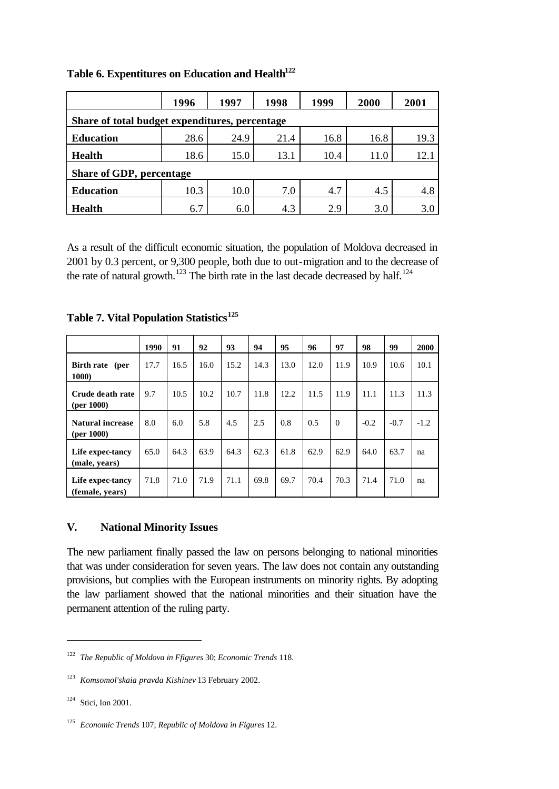|                                                | 1996 | 1997 | 1998 | 1999 | 2000 | 2001 |  |  |  |  |  |  |
|------------------------------------------------|------|------|------|------|------|------|--|--|--|--|--|--|
| Share of total budget expenditures, percentage |      |      |      |      |      |      |  |  |  |  |  |  |
| <b>Education</b>                               | 28.6 | 24.9 | 21.4 | 16.8 | 16.8 | 19.3 |  |  |  |  |  |  |
| <b>Health</b>                                  | 18.6 | 15.0 | 13.1 | 10.4 | 11.0 | 12.1 |  |  |  |  |  |  |
| Share of GDP, percentage                       |      |      |      |      |      |      |  |  |  |  |  |  |
| <b>Education</b>                               | 10.3 | 10.0 | 7.0  | 4.7  | 4.5  | 4.8  |  |  |  |  |  |  |
| <b>Health</b>                                  | 6.7  | 6.0  | 4.3  | 2.9  | 3.0  | 3.0  |  |  |  |  |  |  |

**Table 6. Expentitures on Education and Health<sup>122</sup>**

As a result of the difficult economic situation, the population of Moldova decreased in 2001 by 0.3 percent, or 9,300 people, both due to out-migration and to the decrease of the rate of natural growth.<sup>123</sup> The birth rate in the last decade decreased by half.<sup>124</sup>

**Table 7. Vital Population Statistics<sup>125</sup>**

|                                          | 1990 | 91   | 92   | 93   | 94   | 95   | 96   | 97       | 98     | 99     | 2000   |
|------------------------------------------|------|------|------|------|------|------|------|----------|--------|--------|--------|
| <b>Birth rate</b><br>(per<br><b>1000</b> | 17.7 | 16.5 | 16.0 | 15.2 | 14.3 | 13.0 | 12.0 | 11.9     | 10.9   | 10.6   | 10.1   |
| Crude death rate<br>(per 1000)           | 9.7  | 10.5 | 10.2 | 10.7 | 11.8 | 12.2 | 11.5 | 11.9     | 11.1   | 11.3   | 11.3   |
| <b>Natural increase</b><br>(per 1000)    | 8.0  | 6.0  | 5.8  | 4.5  | 2.5  | 0.8  | 0.5  | $\Omega$ | $-0.2$ | $-0.7$ | $-1.2$ |
| Life expec-tancy<br>(male, years)        | 65.0 | 64.3 | 63.9 | 64.3 | 62.3 | 61.8 | 62.9 | 62.9     | 64.0   | 63.7   | na     |
| Life expec-tancy<br>(female, years)      | 71.8 | 71.0 | 71.9 | 71.1 | 69.8 | 69.7 | 70.4 | 70.3     | 71.4   | 71.0   | na     |

## **V. National Minority Issues**

The new parliament finally passed the law on persons belonging to national minorities that was under consideration for seven years. The law does not contain any outstanding provisions, but complies with the European instruments on minority rights. By adopting the law parliament showed that the national minorities and their situation have the permanent attention of the ruling party.

<sup>122</sup> *The Republic of Moldova in Ffigures* 30; *Economic Trends* 118.

<sup>123</sup> *Komsomol'skaia pravda Kishinev* 13 February 2002.

<sup>124</sup> Stici, Ion 2001.

<sup>125</sup> *Economic Trends* 107; *Republic of Moldova in Figures* 12.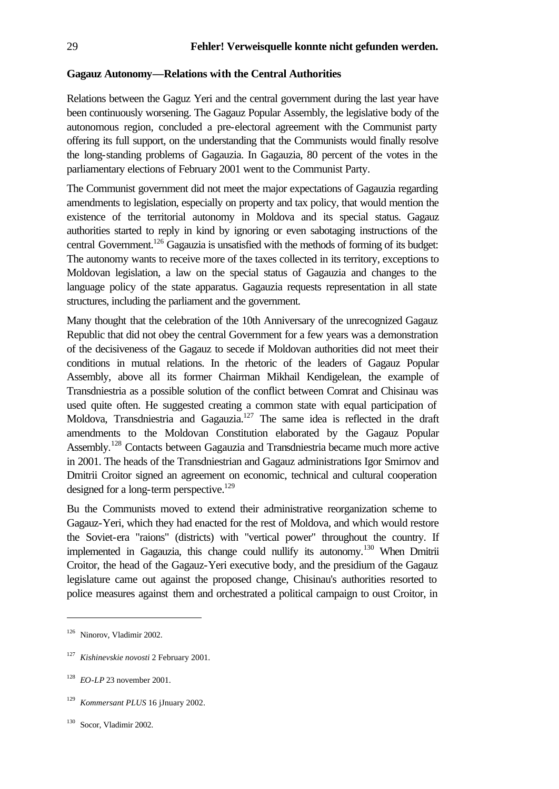# **Gagauz Autonomy—Relations with the Central Authorities**

Relations between the Gaguz Yeri and the central government during the last year have been continuously worsening. The Gagauz Popular Assembly, the legislative body of the autonomous region, concluded a pre-electoral agreement with the Communist party offering its full support, on the understanding that the Communists would finally resolve the long-standing problems of Gagauzia. In Gagauzia, 80 percent of the votes in the parliamentary elections of February 2001 went to the Communist Party.

The Communist government did not meet the major expectations of Gagauzia regarding amendments to legislation, especially on property and tax policy, that would mention the existence of the territorial autonomy in Moldova and its special status. Gagauz authorities started to reply in kind by ignoring or even sabotaging instructions of the central Government.<sup>126</sup> Gagauzia is unsatisfied with the methods of forming of its budget: The autonomy wants to receive more of the taxes collected in its territory, exceptions to Moldovan legislation, a law on the special status of Gagauzia and changes to the language policy of the state apparatus. Gagauzia requests representation in all state structures, including the parliament and the government.

Many thought that the celebration of the 10th Anniversary of the unrecognized Gagauz Republic that did not obey the central Government for a few years was a demonstration of the decisiveness of the Gagauz to secede if Moldovan authorities did not meet their conditions in mutual relations. In the rhetoric of the leaders of Gagauz Popular Assembly, above all its former Chairman Mikhail Kendigelean, the example of Transdniestria as a possible solution of the conflict between Comrat and Chisinau was used quite often. He suggested creating a common state with equal participation of Moldova, Transdniestria and Gagauzia.<sup>127</sup> The same idea is reflected in the draft amendments to the Moldovan Constitution elaborated by the Gagauz Popular Assembly.<sup>128</sup> Contacts between Gagauzia and Transdniestria became much more active in 2001. The heads of the Transdniestrian and Gagauz administrations Igor Smirnov and Dmitrii Croitor signed an agreement on economic, technical and cultural cooperation designed for a long-term perspective.<sup>129</sup>

Bu the Communists moved to extend their administrative reorganization scheme to Gagauz-Yeri, which they had enacted for the rest of Moldova, and which would restore the Soviet-era "raions" (districts) with "vertical power" throughout the country. If implemented in Gagauzia, this change could nullify its autonomy.<sup>130</sup> When Dmitrii Croitor, the head of the Gagauz-Yeri executive body, and the presidium of the Gagauz legislature came out against the proposed change, Chisinau's authorities resorted to police measures against them and orchestrated a political campaign to oust Croitor, in

<sup>126</sup> Ninorov, Vladimir 2002.

<sup>127</sup> *Kishinevskie novosti* 2 February 2001.

<sup>128</sup> *EO-LP* 23 november 2001.

<sup>129</sup> *Kommersant PLUS* 16 jJnuary 2002.

<sup>130</sup> Socor, Vladimir 2002.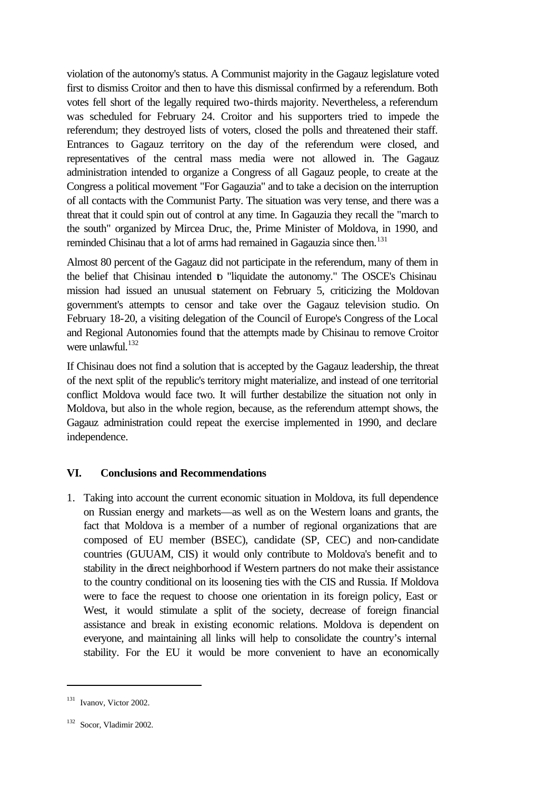violation of the autonomy's status. A Communist majority in the Gagauz legislature voted first to dismiss Croitor and then to have this dismissal confirmed by a referendum. Both votes fell short of the legally required two-thirds majority. Nevertheless, a referendum was scheduled for February 24. Croitor and his supporters tried to impede the referendum; they destroyed lists of voters, closed the polls and threatened their staff. Entrances to Gagauz territory on the day of the referendum were closed, and representatives of the central mass media were not allowed in. The Gagauz administration intended to organize a Congress of all Gagauz people, to create at the Congress a political movement "For Gagauzia" and to take a decision on the interruption of all contacts with the Communist Party. The situation was very tense, and there was a threat that it could spin out of control at any time. In Gagauzia they recall the "march to the south" organized by Mircea Druc, the, Prime Minister of Moldova, in 1990, and reminded Chisinau that a lot of arms had remained in Gagauzia since then.<sup>131</sup>

Almost 80 percent of the Gagauz did not participate in the referendum, many of them in the belief that Chisinau intended to "liquidate the autonomy." The OSCE's Chisinau mission had issued an unusual statement on February 5, criticizing the Moldovan government's attempts to censor and take over the Gagauz television studio. On February 18-20, a visiting delegation of the Council of Europe's Congress of the Local and Regional Autonomies found that the attempts made by Chisinau to remove Croitor were unlawful. $132$ 

If Chisinau does not find a solution that is accepted by the Gagauz leadership, the threat of the next split of the republic's territory might materialize, and instead of one territorial conflict Moldova would face two. It will further destabilize the situation not only in Moldova, but also in the whole region, because, as the referendum attempt shows, the Gagauz administration could repeat the exercise implemented in 1990, and declare independence.

## **VI. Conclusions and Recommendations**

1. Taking into account the current economic situation in Moldova, its full dependence on Russian energy and markets—as well as on the Western loans and grants, the fact that Moldova is a member of a number of regional organizations that are composed of EU member (BSEC), candidate (SP, CEC) and non-candidate countries (GUUAM, CIS) it would only contribute to Moldova's benefit and to stability in the direct neighborhood if Western partners do not make their assistance to the country conditional on its loosening ties with the CIS and Russia. If Moldova were to face the request to choose one orientation in its foreign policy, East or West, it would stimulate a split of the society, decrease of foreign financial assistance and break in existing economic relations. Moldova is dependent on everyone, and maintaining all links will help to consolidate the country's internal stability. For the EU it would be more convenient to have an economically

<sup>&</sup>lt;sup>131</sup> Ivanov, Victor 2002.

<sup>132</sup> Socor, Vladimir 2002.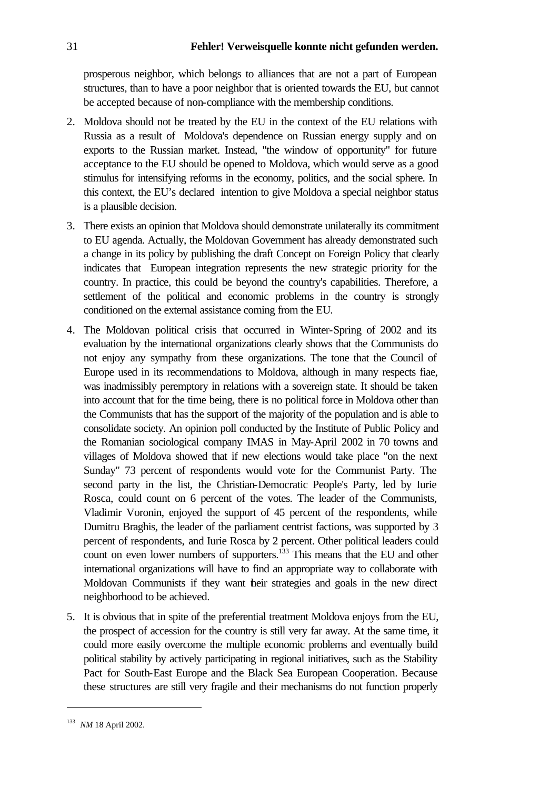prosperous neighbor, which belongs to alliances that are not a part of European structures, than to have a poor neighbor that is oriented towards the EU, but cannot be accepted because of non-compliance with the membership conditions.

- 2. Moldova should not be treated by the EU in the context of the EU relations with Russia as a result of Moldova's dependence on Russian energy supply and on exports to the Russian market. Instead, "the window of opportunity" for future acceptance to the EU should be opened to Moldova, which would serve as a good stimulus for intensifying reforms in the economy, politics, and the social sphere. In this context, the EU's declared intention to give Moldova a special neighbor status is a plausible decision.
- 3. There exists an opinion that Moldova should demonstrate unilaterally its commitment to EU agenda. Actually, the Moldovan Government has already demonstrated such a change in its policy by publishing the draft Concept on Foreign Policy that clearly indicates that European integration represents the new strategic priority for the country. In practice, this could be beyond the country's capabilities. Therefore, a settlement of the political and economic problems in the country is strongly conditioned on the external assistance coming from the EU.
- 4. The Moldovan political crisis that occurred in Winter-Spring of 2002 and its evaluation by the international organizations clearly shows that the Communists do not enjoy any sympathy from these organizations. The tone that the Council of Europe used in its recommendations to Moldova, although in many respects fiae, was inadmissibly peremptory in relations with a sovereign state. It should be taken into account that for the time being, there is no political force in Moldova other than the Communists that has the support of the majority of the population and is able to consolidate society. An opinion poll conducted by the Institute of Public Policy and the Romanian sociological company IMAS in May-April 2002 in 70 towns and villages of Moldova showed that if new elections would take place "on the next Sunday" 73 percent of respondents would vote for the Communist Party. The second party in the list, the Christian-Democratic People's Party, led by Iurie Rosca, could count on 6 percent of the votes. The leader of the Communists, Vladimir Voronin, enjoyed the support of 45 percent of the respondents, while Dumitru Braghis, the leader of the parliament centrist factions, was supported by 3 percent of respondents, and Iurie Rosca by 2 percent. Other political leaders could count on even lower numbers of supporters.<sup>133</sup> This means that the EU and other international organizations will have to find an appropriate way to collaborate with Moldovan Communists if they want their strategies and goals in the new direct neighborhood to be achieved.
- 5. It is obvious that in spite of the preferential treatment Moldova enjoys from the EU, the prospect of accession for the country is still very far away. At the same time, it could more easily overcome the multiple economic problems and eventually build political stability by actively participating in regional initiatives, such as the Stability Pact for South-East Europe and the Black Sea European Cooperation. Because these structures are still very fragile and their mechanisms do not function properly

<sup>133</sup> *NM* 18 April 2002.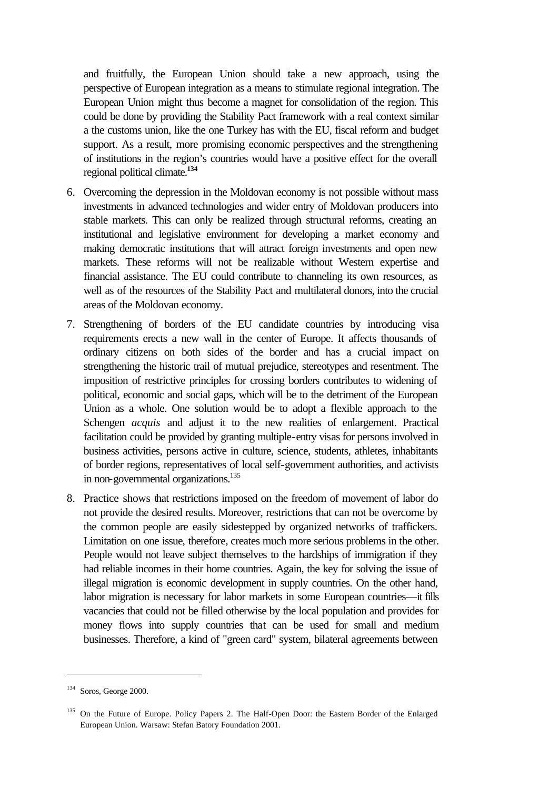and fruitfully, the European Union should take a new approach, using the perspective of European integration as a means to stimulate regional integration. The European Union might thus become a magnet for consolidation of the region. This could be done by providing the Stability Pact framework with a real context similar a the customs union, like the one Turkey has with the EU, fiscal reform and budget support. As a result, more promising economic perspectives and the strengthening of institutions in the region's countries would have a positive effect for the overall regional political climate.**<sup>134</sup>**

- 6. Overcoming the depression in the Moldovan economy is not possible without mass investments in advanced technologies and wider entry of Moldovan producers into stable markets. This can only be realized through structural reforms, creating an institutional and legislative environment for developing a market economy and making democratic institutions that will attract foreign investments and open new markets. These reforms will not be realizable without Western expertise and financial assistance. The EU could contribute to channeling its own resources, as well as of the resources of the Stability Pact and multilateral donors, into the crucial areas of the Moldovan economy.
- 7. Strengthening of borders of the EU candidate countries by introducing visa requirements erects a new wall in the center of Europe. It affects thousands of ordinary citizens on both sides of the border and has a crucial impact on strengthening the historic trail of mutual prejudice, stereotypes and resentment. The imposition of restrictive principles for crossing borders contributes to widening of political, economic and social gaps, which will be to the detriment of the European Union as a whole. One solution would be to adopt a flexible approach to the Schengen *acquis* and adjust it to the new realities of enlargement. Practical facilitation could be provided by granting multiple-entry visas for persons involved in business activities, persons active in culture, science, students, athletes, inhabitants of border regions, representatives of local self-government authorities, and activists in non-governmental organizations.<sup>135</sup>
- 8. Practice shows that restrictions imposed on the freedom of movement of labor do not provide the desired results. Moreover, restrictions that can not be overcome by the common people are easily sidestepped by organized networks of traffickers. Limitation on one issue, therefore, creates much more serious problems in the other. People would not leave subject themselves to the hardships of immigration if they had reliable incomes in their home countries. Again, the key for solving the issue of illegal migration is economic development in supply countries. On the other hand, labor migration is necessary for labor markets in some European countries—it fills vacancies that could not be filled otherwise by the local population and provides for money flows into supply countries that can be used for small and medium businesses. Therefore, a kind of "green card" system, bilateral agreements between

<sup>134</sup> Soros, George 2000.

<sup>&</sup>lt;sup>135</sup> On the Future of Europe. Policy Papers 2. The Half-Open Door: the Eastern Border of the Enlarged European Union. Warsaw: Stefan Batory Foundation 2001.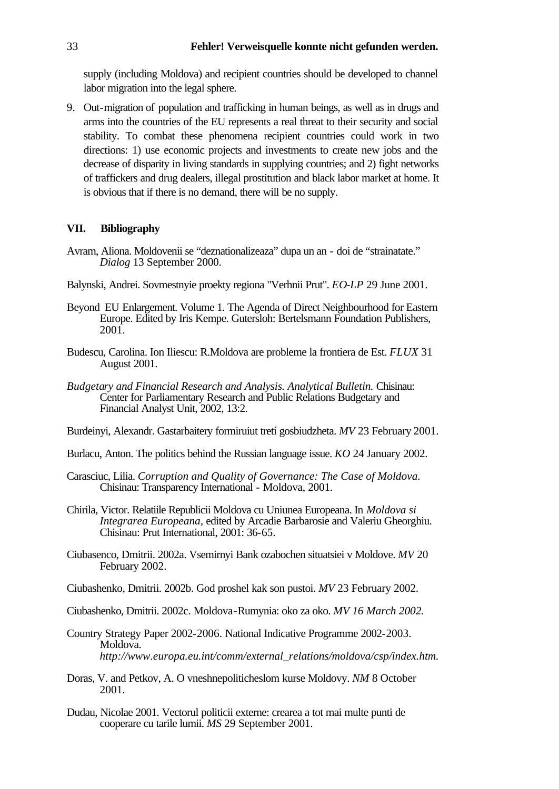supply (including Moldova) and recipient countries should be developed to channel labor migration into the legal sphere.

9. Out-migration of population and trafficking in human beings, as well as in drugs and arms into the countries of the EU represents a real threat to their security and social stability. To combat these phenomena recipient countries could work in two directions: 1) use economic projects and investments to create new jobs and the decrease of disparity in living standards in supplying countries; and 2) fight networks of traffickers and drug dealers, illegal prostitution and black labor market at home. It is obvious that if there is no demand, there will be no supply.

#### **VII. Bibliography**

- Avram, Aliona. Moldovenii se "deznationalizeaza" dupa un an doi de "strainatate." *Dialog* 13 September 2000.
- Balynski, Andrei. Sovmestnyie proekty regiona "Verhnii Prut". *EO-LP* 29 June 2001.
- Beyond EU Enlargement. Volume 1. The Agenda of Direct Neighbourhood for Eastern Europe. Edited by Iris Kempe. Gutersloh: Bertelsmann Foundation Publishers, 2001.
- Budescu, Carolina. Ion Iliescu: R.Moldova are probleme la frontiera de Est. *FLUX* 31 August 2001.
- *Budgetary and Financial Research and Analysis. Analytical Bulletin.* Chisinau: Center for Parliamentary Research and Public Relations Budgetary and Financial Analyst Unit, 2002, 13:2.
- Burdeinyi, Alexandr. Gastarbaitery formiruiut tretí gosbiudzheta. *MV* 23 February 2001.
- Burlacu, Anton. The politics behind the Russian language issue. *KO* 24 January 2002.
- Carasciuc, Lilia. *Corruption and Quality of Governance: The Case of Moldova.*  Chisinau: Transparency International - Moldova, 2001.
- Chirila, Victor. Relatiile Republicii Moldova cu Uniunea Europeana. In *Moldova si Integrarea Europeana,* edited by Arcadie Barbarosie and Valeriu Gheorghiu. Chisinau: Prut International, 2001: 36-65.
- Ciubasenco, Dmitrii. 2002a. Vsemirnyi Bank ozabochen situatsiei v Moldove. *MV* 20 February 2002.

Ciubashenko, Dmitrii. 2002b. God proshel kak son pustoi. *MV* 23 February 2002.

- Ciubashenko, Dmitrii. 2002c. Moldova-Rumynia: oko za oko. *MV 16 March 2002.*
- Country Strategy Paper 2002-2006. National Indicative Programme 2002-2003. Moldova. *http://www.europa.eu.int/comm/external\_relations/moldova/csp/index.htm.*
- Doras, V. and Petkov, A. O vneshnepoliticheslom kurse Moldovy. *NM* 8 October 2001.
- Dudau, Nicolae 2001. Vectorul politicii externe: crearea a tot mai multe punti de cooperare cu tarile lumii. *MS* 29 September 2001.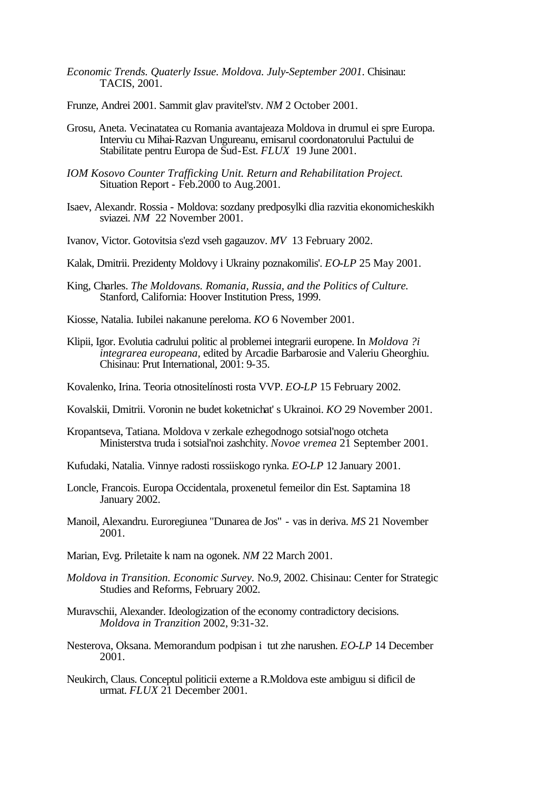- *Economic Trends. Quaterly Issue. Moldova. July-September 2001.* Chisinau: TACIS, 2001.
- Frunze, Andrei 2001. Sammit glav pravitel'stv. *NM* 2 October 2001.
- Grosu, Aneta. Vecinatatea cu Romania avantajeaza Moldova in drumul ei spre Europa. Interviu cu Mihai-Razvan Ungureanu, emisarul coordonatorului Pactului de Stabilitate pentru Europa de Sud-Est. *FLUX* 19 June 2001.
- *IOM Kosovo Counter Trafficking Unit. Return and Rehabilitation Project.* Situation Report - Feb.2000 to Aug.2001.
- Isaev, Alexandr. Rossia Moldova: sozdany predposylki dlia razvitia ekonomicheskikh sviazei. *NM* 22 November 2001.
- Ivanov, Victor. Gotovitsia s'ezd vseh gagauzov. *MV* 13 February 2002.
- Kalak, Dmitrii. Prezidenty Moldovy i Ukrainy poznakomilis'. *EO-LP* 25 May 2001.
- King, Charles. *The Moldovans. Romania, Russia, and the Politics of Culture.* Stanford, California: Hoover Institution Press, 1999.
- Kiosse, Natalia. Iubilei nakanune pereloma. *KO* 6 November 2001.
- Klipii, Igor. Evolutia cadrului politic al problemei integrarii europene. In *Moldova ?i integrarea europeana,* edited by Arcadie Barbarosie and Valeriu Gheorghiu. Chisinau: Prut International, 2001: 9-35.
- Kovalenko, Irina. Teoria otnositelínosti rosta VVP. *EO-LP* 15 February 2002.
- Kovalskii, Dmitrii. Voronin ne budet koketnichat' s Ukrainoi. *KO* 29 November 2001.
- Kropantseva, Tatiana. Moldova v zerkale ezhegodnogo sotsial'nogo otcheta Ministerstva truda i sotsial'noi zashchity. *Novoe vremea* 21 September 2001.
- Kufudaki, Natalia. Vinnye radosti rossiiskogo rynka. *EO-LP* 12 January 2001.
- Loncle, Francois. Europa Occidentala, proxenetul femeilor din Est. Saptamina 18 January 2002.
- Manoil, Alexandru. Euroregiunea "Dunarea de Jos" vas in deriva. *MS* 21 November 2001.
- Marian, Evg. Priletaite k nam na ogonek. *NM* 22 March 2001.
- *Moldova in Transition. Economic Survey.* No.9, 2002. Chisinau: Center for Strategic Studies and Reforms, February 2002.
- Muravschii, Alexander. Ideologization of the economy contradictory decisions. *Moldova in Tranzition* 2002, 9:31-32.
- Nesterova, Oksana. Memorandum podpisan i tut zhe narushen. *EO-LP* 14 December 2001.
- Neukirch, Claus. Conceptul politicii externe a R.Moldova este ambiguu si dificil de urmat. *FLUX* 21 December 2001.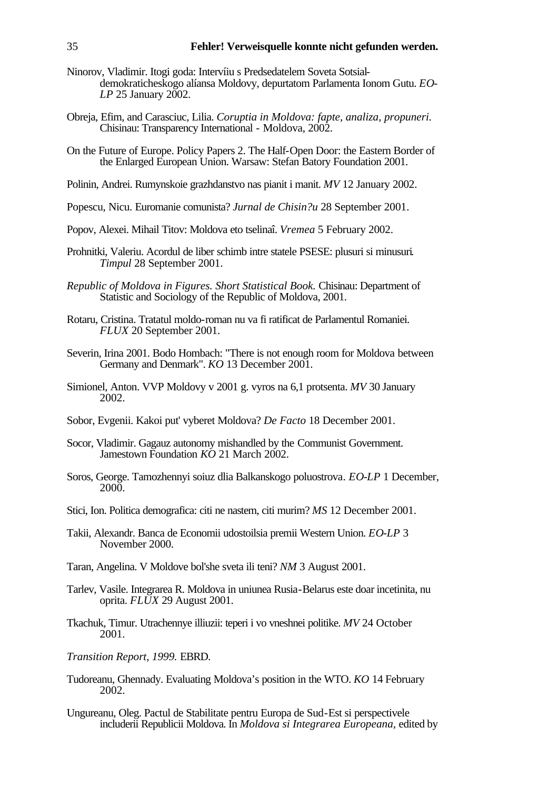- Ninorov, Vladimir. Itogi goda: Intervíiu s Predsedatelem Soveta Sotsialdemokraticheskogo alíansa Moldovy, depurtatom Parlamenta Ionom Gutu. *EO-LP* 25 January 2002.
- Obreja, Efim, and Carasciuc, Lilia. *Coruptia in Moldova: fapte, analiza, propuneri.*  Chisinau: Transparency International - Moldova, 2002.
- On the Future of Europe. Policy Papers 2. The Half-Open Door: the Eastern Border of the Enlarged European Union. Warsaw: Stefan Batory Foundation 2001.
- Polinin, Andrei. Rumynskoie grazhdanstvo nas pianit i manit. *MV* 12 January 2002.
- Popescu, Nicu. Euromanie comunista? *Jurnal de Chisin?u* 28 September 2001.
- Popov, Alexei. Mihail Titov: Moldova eto tselinaî. *Vremea* 5 February 2002.
- Prohnitki, Valeriu. Acordul de liber schimb intre statele PSESE: plusuri si minusuri*. Timpul* 28 September 2001.
- *Republic of Moldova in Figures. Short Statistical Book.* Chisinau: Department of Statistic and Sociology of the Republic of Moldova, 2001.
- Rotaru, Cristina. Tratatul moldo-roman nu va fi ratificat de Parlamentul Romaniei. *FLUX* 20 September 2001.
- Severin, Irina 2001. Bodo Hombach: "There is not enough room for Moldova between Germany and Denmark". *KO* 13 December 2001.
- Simionel, Anton. VVP Moldovy v 2001 g. vyros na 6,1 protsenta. *MV* 30 January 2002.
- Sobor, Evgenii. Kakoi put' vyberet Moldova? *De Facto* 18 December 2001.
- Socor, Vladimir. Gagauz autonomy mishandled by the Communist Government. Jamestown Foundation *KO* 21 March 2002.
- Soros, George. Tamozhennyi soiuz dlia Balkanskogo poluostrova*. EO-LP* 1 December, 2000.
- Stici, Ion. Politica demografica: citi ne nastem, citi murim? *MS* 12 December 2001.
- Takii, Alexandr. Banca de Economii udostoilsia premii Western Union. *EO-LP* 3 November 2000.
- Taran, Angelina. V Moldove bol'she sveta ili teni? *NM* 3 August 2001.
- Tarlev, Vasile. Integrarea R. Moldova in uniunea Rusia-Belarus este doar incetinita, nu oprita. *FLUX* 29 August 2001.
- Tkachuk, Timur. Utrachennye illiuzii: teperi i vo vneshnei politike. *MV* 24 October 2001.
- *Transition Report, 1999.* EBRD.
- Tudoreanu, Ghennady. Evaluating Moldova's position in the WTO. *KO* 14 February 2002.
- Ungureanu, Oleg. Pactul de Stabilitate pentru Europa de Sud-Est si perspectivele includerii Republicii Moldova. In *Moldova si Integrarea Europeana,* edited by